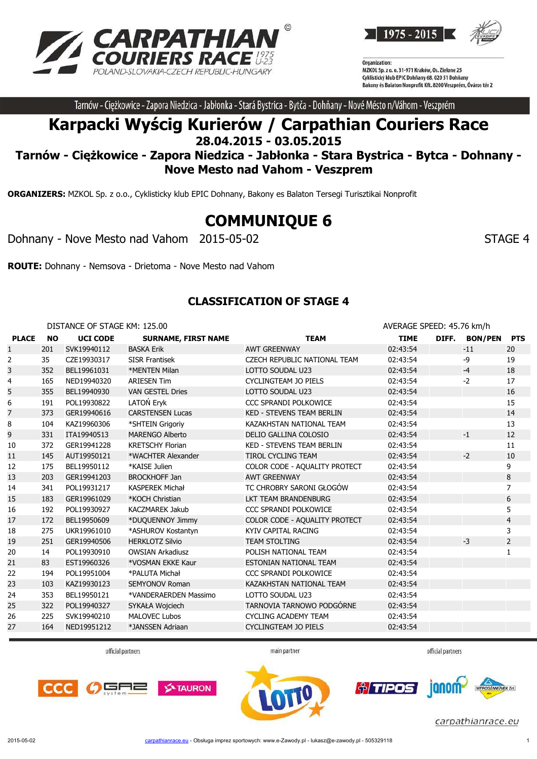



Tarnów - Ciężkowice - Zapora Niedzica - Jabłonka - Stará Bystrica - Bytča - Dohňany - Nové Mésto n/Váhom - Veszprém

# **Karpacki Wyścig Kurierów / Carpathian Couriers Race 28.04.2015 - 03.05.2015**

## **Tarnów - Ciężkowice - Zapora Niedzica - Jabłonka - Stara Bystrica - Bytca - Dohnany - Nove Mesto nad Vahom - Veszprem**

**ORGANIZERS:** MZKOL Sp. z o.o., Cyklisticky klub EPIC Dohnany, Bakony es Balaton Tersegi Turisztikai Nonprofit

# **COMMUNIQUE 6**

Dohnany - Nove Mesto nad Vahom 2015-05-02 STAGE 4

**ROUTE:** Dohnany - Nemsova - Drietoma - Nove Mesto nad Vahom

#### **CLASSIFICATION OF STAGE 4**

|                | DISTANCE OF STAGE KM: 125.00 |                 |                            | AVERAGE SPEED: 45.76 km/h        |             |  |               |                |
|----------------|------------------------------|-----------------|----------------------------|----------------------------------|-------------|--|---------------|----------------|
| <b>PLACE</b>   | <b>NO</b>                    | <b>UCI CODE</b> | <b>SURNAME, FIRST NAME</b> | <b>TEAM</b>                      | <b>TIME</b> |  | DIFF. BON/PEN | <b>PTS</b>     |
| $\mathbf{1}$   | 201                          | SVK19940112     | <b>BASKA Erik</b>          | <b>AWT GREENWAY</b>              | 02:43:54    |  | $-11$         | 20             |
| $\overline{2}$ | 35                           | CZE19930317     | <b>SISR Frantisek</b>      | CZECH REPUBLIC NATIONAL TEAM     | 02:43:54    |  | -9            | 19             |
| 3              | 352                          | BEL19961031     | *MENTEN Milan              | LOTTO SOUDAL U23                 | 02:43:54    |  | $-4$          | 18             |
| 4              | 165                          | NED19940320     | <b>ARIESEN Tim</b>         | <b>CYCLINGTEAM JO PIELS</b>      | 02:43:54    |  | $-2$          | 17             |
| 5              | 355                          | BEL19940930     | <b>VAN GESTEL Dries</b>    | LOTTO SOUDAL U23                 | 02:43:54    |  |               | 16             |
| 6              | 191                          | POL19930822     | LATOŃ Eryk                 | CCC SPRANDI POLKOWICE            | 02:43:54    |  |               | 15             |
| 7              | 373                          | GER19940616     | <b>CARSTENSEN Lucas</b>    | <b>KED - STEVENS TEAM BERLIN</b> | 02:43:54    |  |               | 14             |
| 8              | 104                          | KAZ19960306     | *SHTEIN Grigoriy           | KAZAKHSTAN NATIONAL TEAM         | 02:43:54    |  |               | 13             |
| 9              | 331                          | ITA19940513     | <b>MARENGO Alberto</b>     | DELIO GALLINA COLOSIO            | 02:43:54    |  | $-1$          | 12             |
| 10             | 372                          | GER19941228     | <b>KRETSCHY Florian</b>    | KED - STEVENS TEAM BERLIN        | 02:43:54    |  |               | 11             |
| 11             | 145                          | AUT19950121     | *WACHTER Alexander         | <b>TIROL CYCLING TEAM</b>        | 02:43:54    |  | $-2$          | 10             |
| 12             | 175                          | BEL19950112     | *KAISE Julien              | COLOR CODE - AQUALITY PROTECT    | 02:43:54    |  |               | 9              |
| 13             | 203                          | GER19941203     | <b>BROCKHOFF Jan</b>       | <b>AWT GREENWAY</b>              | 02:43:54    |  |               | 8              |
| 14             | 341                          | POL19931217     | <b>KASPEREK Michał</b>     | TC CHROBRY SARONI GŁOGÓW         | 02:43:54    |  |               | $\overline{7}$ |
| 15             | 183                          | GER19961029     | *KOCH Christian            | LKT TEAM BRANDENBURG             | 02:43:54    |  |               | 6              |
| 16             | 192                          | POL19930927     | <b>KACZMAREK Jakub</b>     | CCC SPRANDI POLKOWICE            | 02:43:54    |  |               | 5              |
| 17             | 172                          | BEL19950609     | *DUQUENNOY Jimmy           | COLOR CODE - AQUALITY PROTECT    | 02:43:54    |  |               | $\overline{4}$ |
| 18             | 275                          | UKR19961010     | *ASHUROV Kostantyn         | KYIV CAPITAL RACING              | 02:43:54    |  |               | 3              |
| 19             | 251                          | GER19940506     | <b>HERKLOTZ Silvio</b>     | <b>TEAM STOLTING</b>             | 02:43:54    |  | $-3$          | $\overline{2}$ |
| 20             | 14                           | POL19930910     | <b>OWSIAN Arkadiusz</b>    | POLISH NATIONAL TEAM             | 02:43:54    |  |               | 1              |
| 21             | 83                           | EST19960326     | *VOSMAN EKKE Kaur          | ESTONIAN NATIONAL TEAM           | 02:43:54    |  |               |                |
| 22             | 194                          | POL19951004     | *PALUTA Michał             | CCC SPRANDI POLKOWICE            | 02:43:54    |  |               |                |
| 23             | 103                          | KAZ19930123     | <b>SEMYONOV Roman</b>      | KAZAKHSTAN NATIONAL TEAM         | 02:43:54    |  |               |                |
| 24             | 353                          | BEL19950121     | *VANDERAERDEN Massimo      | LOTTO SOUDAL U23                 | 02:43:54    |  |               |                |
| 25             | 322                          | POL19940327     | SYKAŁA Wojciech            | TARNOVIA TARNOWO PODGÓRNE        | 02:43:54    |  |               |                |
| 26             | 225                          | SVK19940210     | <b>MALOVEC Lubos</b>       | <b>CYCLING ACADEMY TEAM</b>      | 02:43:54    |  |               |                |
| 27             | 164                          | NED19951212     | *JANSSEN Adriaan           | <b>CYCLINGTEAM JO PIELS</b>      | 02:43:54    |  |               |                |
|                |                              |                 |                            |                                  |             |  |               |                |

official partners

main partner

official partners





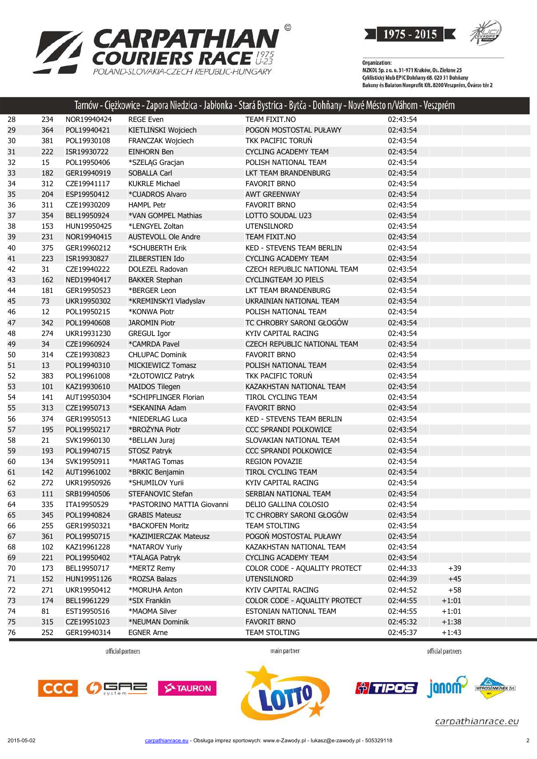



Organization:<br>MZKOL Sp. z o. o. 31-971 Kraków, Os. Zielone 25 Cyklistický klub EPIC Dohňany 68, 020 51 Dohňany<br>Cyklistický klub EPIC Dohňany 68, 020 51 Dohňany<br>Bakony és Balaton Nonprofit Kft. 8200 Veszprém, Óváros tér 2

|    |     |             |                            | Tarnow - Ciężkowice - Zapora Niedzica - Jabłonka - Stara Bystrica - Bytca - Dohnany - Nove Mesto n/Vahom - Veszprem |          |         |  |
|----|-----|-------------|----------------------------|---------------------------------------------------------------------------------------------------------------------|----------|---------|--|
| 28 | 234 | NOR19940424 | <b>REGE Even</b>           | TEAM FIXIT.NO                                                                                                       | 02:43:54 |         |  |
| 29 | 364 | POL19940421 | KIETLIŃSKI Wojciech        | POGOŃ MOSTOSTAL PUŁAWY                                                                                              | 02:43:54 |         |  |
| 30 | 381 | POL19930108 | FRANCZAK Wojciech          | TKK PACIFIC TORUŃ                                                                                                   | 02:43:54 |         |  |
| 31 | 222 | ISR19930722 | <b>EINHORN Ben</b>         | <b>CYCLING ACADEMY TEAM</b>                                                                                         | 02:43:54 |         |  |
| 32 | 15  | POL19950406 | *SZELĄG Gracjan            | POLISH NATIONAL TEAM                                                                                                | 02:43:54 |         |  |
| 33 | 182 | GER19940919 | <b>SOBALLA Carl</b>        | LKT TEAM BRANDENBURG                                                                                                | 02:43:54 |         |  |
| 34 | 312 | CZE19941117 | <b>KUKRLE Michael</b>      | <b>FAVORIT BRNO</b>                                                                                                 | 02:43:54 |         |  |
| 35 | 204 | ESP19950412 | *CUADROS Alvaro            | <b>AWT GREENWAY</b>                                                                                                 | 02:43:54 |         |  |
| 36 | 311 | CZE19930209 | <b>HAMPL Petr</b>          | <b>FAVORIT BRNO</b>                                                                                                 | 02:43:54 |         |  |
| 37 | 354 | BEL19950924 | *VAN GOMPEL Mathias        | LOTTO SOUDAL U23                                                                                                    | 02:43:54 |         |  |
| 38 | 153 | HUN19950425 | *LENGYEL Zoltan            | UTENSILNORD                                                                                                         | 02:43:54 |         |  |
| 39 | 231 | NOR19940415 | <b>AUSTEVOLL Ole Andre</b> | TEAM FIXIT.NO                                                                                                       | 02:43:54 |         |  |
| 40 | 375 | GER19960212 | *SCHUBERTH Erik            | KED - STEVENS TEAM BERLIN                                                                                           | 02:43:54 |         |  |
| 41 | 223 | ISR19930827 | ZILBERSTIEN Ido            | <b>CYCLING ACADEMY TEAM</b>                                                                                         | 02:43:54 |         |  |
| 42 | 31  | CZE19940222 | DOLEZEL Radovan            | CZECH REPUBLIC NATIONAL TEAM                                                                                        | 02:43:54 |         |  |
| 43 | 162 | NED19940417 | <b>BAKKER Stephan</b>      | <b>CYCLINGTEAM JO PIELS</b>                                                                                         | 02:43:54 |         |  |
| 44 | 181 | GER19950523 | *BERGER Leon               | LKT TEAM BRANDENBURG                                                                                                | 02:43:54 |         |  |
| 45 | 73  | UKR19950302 | *KREMINSKYI Vladyslav      | UKRAINIAN NATIONAL TEAM                                                                                             | 02:43:54 |         |  |
| 46 | 12  | POL19950215 | *KONWA Piotr               | POLISH NATIONAL TEAM                                                                                                | 02:43:54 |         |  |
| 47 | 342 | POL19940608 | <b>JAROMIN Piotr</b>       | TC CHROBRY SARONI GŁOGÓW                                                                                            | 02:43:54 |         |  |
| 48 | 274 | UKR19931230 | <b>GREGUL Igor</b>         | KYIV CAPITAL RACING                                                                                                 | 02:43:54 |         |  |
| 49 | 34  | CZE19960924 | *CAMRDA Pavel              | CZECH REPUBLIC NATIONAL TEAM                                                                                        | 02:43:54 |         |  |
| 50 | 314 | CZE19930823 | <b>CHLUPAC Dominik</b>     | <b>FAVORIT BRNO</b>                                                                                                 | 02:43:54 |         |  |
| 51 | 13  | POL19940310 | <b>MICKIEWICZ Tomasz</b>   | POLISH NATIONAL TEAM                                                                                                | 02:43:54 |         |  |
| 52 | 383 | POL19961008 | *ZŁOTOWICZ Patryk          | TKK PACIFIC TORUŃ                                                                                                   | 02:43:54 |         |  |
| 53 | 101 | KAZ19930610 | <b>MAIDOS Tilegen</b>      | KAZAKHSTAN NATIONAL TEAM                                                                                            | 02:43:54 |         |  |
| 54 | 141 | AUT19950304 | *SCHIPFLINGER Florian      | TIROL CYCLING TEAM                                                                                                  | 02:43:54 |         |  |
| 55 | 313 | CZE19950713 | *SEKANINA Adam             | <b>FAVORIT BRNO</b>                                                                                                 | 02:43:54 |         |  |
| 56 | 374 | GER19950513 | *NIEDERLAG Luca            | KED - STEVENS TEAM BERLIN                                                                                           | 02:43:54 |         |  |
| 57 | 195 | POL19950217 | *BROŻYNA Piotr             | CCC SPRANDI POLKOWICE                                                                                               | 02:43:54 |         |  |
| 58 | 21  | SVK19960130 | *BELLAN Juraj              | SLOVAKIAN NATIONAL TEAM                                                                                             | 02:43:54 |         |  |
| 59 | 193 | POL19940715 | STOSZ Patryk               | CCC SPRANDI POLKOWICE                                                                                               | 02:43:54 |         |  |
| 60 | 134 | SVK19950911 | *MARTAG Tomas              | REGION POVAZIE                                                                                                      | 02:43:54 |         |  |
| 61 | 142 | AUT19961002 | *BRKIC Benjamin            | TIROL CYCLING TEAM                                                                                                  | 02:43:54 |         |  |
| 62 | 272 | UKR19950926 | *SHUMILOV Yurii            | KYIV CAPITAL RACING                                                                                                 | 02:43:54 |         |  |
| 63 | 111 | SRB19940506 | STEFANOVIC Stefan          | SERBIAN NATIONAL TEAM                                                                                               | 02:43:54 |         |  |
| 64 | 335 | ITA19950529 | *PASTORINO MATTIA Giovanni | DELIO GALLINA COLOSIO                                                                                               | 02:43:54 |         |  |
| 65 | 345 | POL19940824 | <b>GRABIS Mateusz</b>      | TC CHROBRY SARONI GŁOGÓW                                                                                            | 02:43:54 |         |  |
| 66 | 255 | GER19950321 | *BACKOFEN Moritz           | <b>TEAM STOLTING</b>                                                                                                | 02:43:54 |         |  |
| 67 | 361 | POL19950715 | *KAZIMIERCZAK Mateusz      | POGOŃ MOSTOSTAL PUŁAWY                                                                                              | 02:43:54 |         |  |
| 68 | 102 | KAZ19961228 | *NATAROV Yuriy             | KAZAKHSTAN NATIONAL TEAM                                                                                            | 02:43:54 |         |  |
| 69 | 221 | POL19950402 | *TALAGA Patryk             | <b>CYCLING ACADEMY TEAM</b>                                                                                         | 02:43:54 |         |  |
| 70 | 173 | BEL19950717 | *MERTZ Remy                | COLOR CODE - AQUALITY PROTECT                                                                                       | 02:44:33 | $+39$   |  |
| 71 | 152 | HUN19951126 | *ROZSA Balazs              | <b>UTENSILNORD</b>                                                                                                  | 02:44:39 | $+45$   |  |
| 72 | 271 | UKR19950412 | *MORUHA Anton              | KYIV CAPITAL RACING                                                                                                 | 02:44:52 | $+58$   |  |
| 73 | 174 | BEL19961229 | *SIX Franklin              | COLOR CODE - AQUALITY PROTECT                                                                                       | 02:44:55 | $+1:01$ |  |
| 74 | 81  | EST19950516 | *MAOMA Silver              | ESTONIAN NATIONAL TEAM                                                                                              | 02:44:55 | $+1:01$ |  |
| 75 | 315 | CZE19951023 | *NEUMAN Dominik            | <b>FAVORIT BRNO</b>                                                                                                 | 02:45:32 | $+1:38$ |  |
| 76 | 252 | GER19940314 | <b>EGNER Arne</b>          | TEAM STOLTING                                                                                                       | 02:45:37 | $+1:43$ |  |

official partners

main partner

official partners





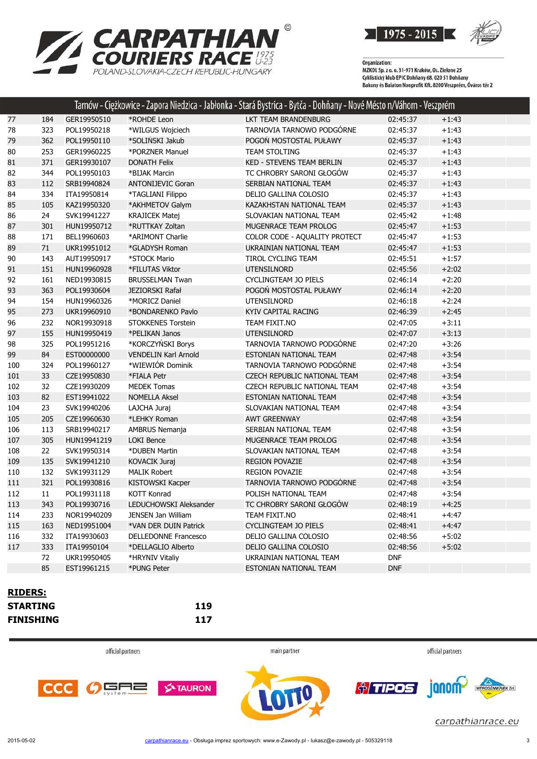



Organization:<br>MZKOL Sp. z o. o. 31-971 Kraków, Os. Zielone 25 Cyklistický klub EPIC Dohňany 68, 020 51 Dohňany<br>Cyklistický klub EPIC Dohňany 68, 020 51 Dohňany<br>Bakony és Balaton Nonprofit Kft. 8200 Veszprém, Óváros tér 2

|                |     |             |                             | Tarnów - Ciężkowice - Zapora Niedzica - Jabłonka - Stará Bystrica - Bytča - Dohňany - Nové Mésto n/Váhom - Veszprém |            |         |  |
|----------------|-----|-------------|-----------------------------|---------------------------------------------------------------------------------------------------------------------|------------|---------|--|
| 77             | 184 | GER19950510 | *ROHDE Leon                 | LKT TEAM BRANDENBURG                                                                                                | 02:45:37   | $+1:43$ |  |
| 78             | 323 | POL19950218 | *WILGUS Wojciech            | TARNOVIA TARNOWO PODGÓRNE                                                                                           | 02:45:37   | $+1:43$ |  |
| 79             | 362 | POL19950110 | *SOLIŃSKI Jakub             | POGOŃ MOSTOSTAL PUŁAWY                                                                                              | 02:45:37   | $+1:43$ |  |
| 80             | 253 | GER19960225 | *PORZNER Manuel             | <b>TEAM STOLTING</b>                                                                                                | 02:45:37   | $+1:43$ |  |
| 81             | 371 | GER19930107 | <b>DONATH Felix</b>         | KED - STEVENS TEAM BERLIN                                                                                           | 02:45:37   | $+1:43$ |  |
| 82             | 344 | POL19950103 | *BIJAK Marcin               | TC CHROBRY SARONI GŁOGÓW                                                                                            | 02:45:37   | $+1:43$ |  |
| 83             | 112 | SRB19940824 | <b>ANTONIJEVIC Goran</b>    | SERBIAN NATIONAL TEAM                                                                                               | 02:45:37   | $+1:43$ |  |
| 84             | 334 | ITA19950814 | *TAGLIANI Filippo           | DELIO GALLINA COLOSIO                                                                                               | 02:45:37   | $+1:43$ |  |
| 85             | 105 | KAZ19950320 | *AKHMETOV Galym             | KAZAKHSTAN NATIONAL TEAM                                                                                            | 02:45:37   | $+1:43$ |  |
| 86             | 24  | SVK19941227 | <b>KRAJICEK Matej</b>       | SLOVAKIAN NATIONAL TEAM                                                                                             | 02:45:42   | $+1:48$ |  |
| 87             | 301 | HUN19950712 | *RUTTKAY Zoltan             | MUGENRACE TEAM PROLOG                                                                                               | 02:45:47   | $+1:53$ |  |
| 88             | 171 | BEL19960603 | *ARIMONT Charlie            | COLOR CODE - AQUALITY PROTECT                                                                                       | 02:45:47   | $+1:53$ |  |
| 89             | 71  | UKR19951012 | *GLADYSH Roman              | UKRAINIAN NATIONAL TEAM                                                                                             | 02:45:47   | $+1:53$ |  |
| $90\,$         | 143 | AUT19950917 | *STOCK Mario                | TIROL CYCLING TEAM                                                                                                  | 02:45:51   | $+1:57$ |  |
| 91             | 151 | HUN19960928 | *FILUTAS Viktor             | <b>UTENSILNORD</b>                                                                                                  | 02:45:56   | $+2:02$ |  |
| 92             | 161 | NED19930815 | <b>BRUSSELMAN Twan</b>      | <b>CYCLINGTEAM JO PIELS</b>                                                                                         | 02:46:14   | $+2:20$ |  |
| 93             | 363 | POL19930604 | <b>JEZIORSKI Rafał</b>      | POGOŃ MOSTOSTAL PUŁAWY                                                                                              | 02:46:14   | $+2:20$ |  |
| 94             | 154 | HUN19960326 | *MORICZ Daniel              | UTENSILNORD                                                                                                         | 02:46:18   | $+2:24$ |  |
| 95             | 273 | UKR19960910 | *BONDARENKO Pavlo           | KYIV CAPITAL RACING                                                                                                 | 02:46:39   | $+2:45$ |  |
| 96             | 232 | NOR19930918 | STOKKENES Torstein          | TEAM FIXIT.NO                                                                                                       | 02:47:05   | $+3:11$ |  |
| 97             | 155 | HUN19950419 | *PELIKAN Janos              | <b>UTENSILNORD</b>                                                                                                  | 02:47:07   | $+3:13$ |  |
| 98             | 325 | POL19951216 | *KORCZYŃSKI Borys           | TARNOVIA TARNOWO PODGÓRNE                                                                                           | 02:47:20   | $+3:26$ |  |
| 99             | 84  | EST00000000 | <b>VENDELIN Karl Arnold</b> | ESTONIAN NATIONAL TEAM                                                                                              | 02:47:48   | $+3:54$ |  |
| 100            | 324 | POL19960127 | *WIEWIÓR Dominik            | TARNOVIA TARNOWO PODGÓRNE                                                                                           | 02:47:48   | $+3:54$ |  |
| 101            | 33  | CZE19950830 | *FIALA Petr                 | CZECH REPUBLIC NATIONAL TEAM                                                                                        | 02:47:48   | $+3:54$ |  |
| 102            | 32  | CZE19930209 | <b>MEDEK Tomas</b>          | CZECH REPUBLIC NATIONAL TEAM                                                                                        | 02:47:48   | $+3:54$ |  |
| 103            | 82  | EST19941022 | <b>NOMELLA Aksel</b>        | ESTONIAN NATIONAL TEAM                                                                                              | 02:47:48   | $+3:54$ |  |
| 104            | 23  | SVK19940206 | LAJCHA Juraj                | SLOVAKIAN NATIONAL TEAM                                                                                             | 02:47:48   | $+3:54$ |  |
| 105            | 205 | CZE19960630 | *LEHKY Roman                | <b>AWT GREENWAY</b>                                                                                                 | 02:47:48   | $+3:54$ |  |
| 106            | 113 | SRB19940217 | AMBRUS Nemanja              | SERBIAN NATIONAL TEAM                                                                                               | 02:47:48   | $+3:54$ |  |
| 107            | 305 | HUN19941219 | <b>LOKI Bence</b>           | MUGENRACE TEAM PROLOG                                                                                               | 02:47:48   | $+3:54$ |  |
| 108            | 22  | SVK19950314 | *DUBEN Martin               | SLOVAKIAN NATIONAL TEAM                                                                                             | 02:47:48   | $+3:54$ |  |
| 109            | 135 | SVK19941210 | KOVACIK Juraj               | REGION POVAZIE                                                                                                      | 02:47:48   | $+3:54$ |  |
| 110            | 132 | SVK19931129 | <b>MALIK Robert</b>         | <b>REGION POVAZIE</b>                                                                                               | 02:47:48   | $+3:54$ |  |
| 111            | 321 | POL19930816 | KISTOWSKI Kacper            | TARNOVIA TARNOWO PODGÓRNE                                                                                           | 02:47:48   | $+3:54$ |  |
| 112            | 11  | POL19931118 | KOTT Konrad                 | POLISH NATIONAL TEAM                                                                                                | 02:47:48   | $+3:54$ |  |
| 113            | 343 | POL19930716 | LEDUCHOWSKI Aleksander      | TC CHROBRY SARONI GŁOGÓW                                                                                            | 02:48:19   | $+4:25$ |  |
| 114            | 233 | NOR19940209 | JENSEN Jan William          | TEAM FIXIT.NO                                                                                                       | 02:48:41   | +4:47   |  |
| 115            | 163 | NED19951004 | *VAN DER DUIN Patrick       | CYCLINGTEAM JO PIELS                                                                                                | 02:48:41   | $+4:47$ |  |
| 116            | 332 | ITA19930603 | <b>DELLEDONNE Francesco</b> | DELIO GALLINA COLOSIO                                                                                               | 02:48:56   | $+5:02$ |  |
| 117            | 333 | ITA19950104 | *DELLAGLIO Alberto          | DELIO GALLINA COLOSIO                                                                                               | 02:48:56   | $+5:02$ |  |
|                | 72  | UKR19950405 | *HRYNIV Vitaliy             | UKRAINIAN NATIONAL TEAM                                                                                             | <b>DNF</b> |         |  |
|                | 85  | EST19961215 | *PUNG Peter                 | ESTONIAN NATIONAL TEAM                                                                                              | <b>DNF</b> |         |  |
|                |     |             |                             |                                                                                                                     |            |         |  |
| <b>RIDERS:</b> |     |             |                             |                                                                                                                     |            |         |  |

#### **RIDERS: STARTING 119 FINISHING 117**

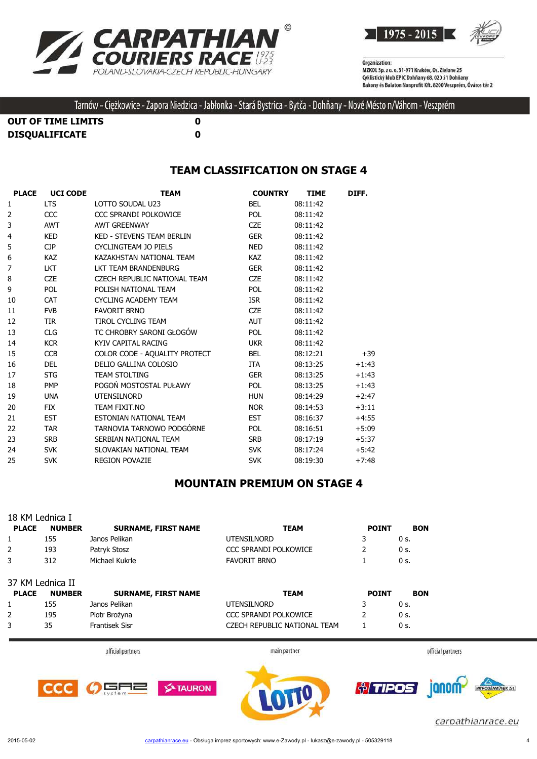



**OUT OF TIME LIMITS 0 DISQUALIFICATE 0**

#### **TEAM CLASSIFICATION ON STAGE 4**

| <b>PLACE</b>   | <b>UCI CODE</b> | <b>TEAM</b>                   | <b>COUNTRY</b> | <b>TIME</b> | DIFF.   |
|----------------|-----------------|-------------------------------|----------------|-------------|---------|
| 1              | <b>LTS</b>      | LOTTO SOUDAL U23              | <b>BEL</b>     | 08:11:42    |         |
| $\overline{2}$ | CCC             | CCC SPRANDI POLKOWICE         | <b>POL</b>     | 08:11:42    |         |
| 3              | <b>AWT</b>      | <b>AWT GREENWAY</b>           | <b>CZE</b>     | 08:11:42    |         |
| 4              | <b>KED</b>      | KED - STEVENS TEAM BERLIN     | <b>GER</b>     | 08:11:42    |         |
| 5              | CJP             | CYCLINGTEAM JO PIELS          | <b>NED</b>     | 08:11:42    |         |
| 6              | <b>KAZ</b>      | KAZAKHSTAN NATIONAL TEAM      | KAZ            | 08:11:42    |         |
| $\overline{7}$ | <b>LKT</b>      | LKT TEAM BRANDENBURG          | <b>GER</b>     | 08:11:42    |         |
| 8              | <b>CZE</b>      | CZECH REPUBLIC NATIONAL TEAM  | <b>CZE</b>     | 08:11:42    |         |
| 9              | <b>POL</b>      | POLISH NATIONAL TEAM          | <b>POL</b>     | 08:11:42    |         |
| 10             | <b>CAT</b>      | <b>CYCLING ACADEMY TEAM</b>   | <b>ISR</b>     | 08:11:42    |         |
| 11             | <b>FVB</b>      | <b>FAVORIT BRNO</b>           | <b>CZE</b>     | 08:11:42    |         |
| 12             | <b>TIR</b>      | <b>TIROL CYCLING TEAM</b>     | <b>AUT</b>     | 08:11:42    |         |
| 13             | <b>CLG</b>      | TC CHROBRY SARONI GŁOGÓW      | <b>POL</b>     | 08:11:42    |         |
| 14             | <b>KCR</b>      | KYIV CAPITAL RACING           | <b>UKR</b>     | 08:11:42    |         |
| 15             | <b>CCB</b>      | COLOR CODE - AQUALITY PROTECT | <b>BEL</b>     | 08:12:21    | $+39$   |
| 16             | <b>DEL</b>      | DELIO GALLINA COLOSIO         | <b>ITA</b>     | 08:13:25    | $+1:43$ |
| 17             | <b>STG</b>      | <b>TEAM STOLTING</b>          | <b>GER</b>     | 08:13:25    | $+1:43$ |
| 18             | <b>PMP</b>      | POGOŃ MOSTOSTAL PUŁAWY        | <b>POL</b>     | 08:13:25    | $+1:43$ |
| 19             | <b>UNA</b>      | <b>UTENSILNORD</b>            | <b>HUN</b>     | 08:14:29    | $+2:47$ |
| 20             | <b>FIX</b>      | TEAM FIXIT.NO                 | <b>NOR</b>     | 08:14:53    | $+3:11$ |
| 21             | <b>EST</b>      | ESTONIAN NATIONAL TEAM        | <b>EST</b>     | 08:16:37    | $+4:55$ |
| 22             | <b>TAR</b>      | TARNOVIA TARNOWO PODGÓRNE     | <b>POL</b>     | 08:16:51    | $+5:09$ |
| 23             | <b>SRB</b>      | SERBIAN NATIONAL TEAM         | <b>SRB</b>     | 08:17:19    | $+5:37$ |
| 24             | <b>SVK</b>      | SLOVAKIAN NATIONAL TEAM       | <b>SVK</b>     | 08:17:24    | $+5:42$ |
| 25             | <b>SVK</b>      | <b>REGION POVAZIE</b>         | <b>SVK</b>     | 08:19:30    | $+7:48$ |

## **MOUNTAIN PREMIUM ON STAGE 4**

|              | 18 KM Lednica I  |                            |                              |              |                             |
|--------------|------------------|----------------------------|------------------------------|--------------|-----------------------------|
| <b>PLACE</b> | <b>NUMBER</b>    | <b>SURNAME, FIRST NAME</b> | <b>TEAM</b>                  | <b>POINT</b> | <b>BON</b>                  |
| 1            | 155              | Janos Pelikan              | <b>UTENSILNORD</b>           | 3            | 0 s.                        |
| 2            | 193              | Patryk Stosz               | <b>CCC SPRANDI POLKOWICE</b> | 2            | 0 s.                        |
| 3            | 312              | Michael Kukrle             | <b>FAVORIT BRNO</b>          |              | 0 s.                        |
|              | 37 KM Lednica II |                            |                              |              |                             |
| <b>PLACE</b> | <b>NUMBER</b>    | <b>SURNAME, FIRST NAME</b> | <b>TEAM</b>                  | <b>POINT</b> | <b>BON</b>                  |
|              | 155              | Janos Pelikan              | <b>UTENSILNORD</b>           | 3            | 0 s.                        |
| 2            | 195              | Piotr Brożyna              | <b>CCC SPRANDI POLKOWICE</b> | 2            | 0 s.                        |
| 3            | 35               | <b>Frantisek Sisr</b>      | CZECH REPUBLIC NATIONAL TEAM |              | 0 <sub>s</sub>              |
|              |                  | official partners          | main partner                 |              | official partners           |
|              |                  |                            |                              |              | ╭<br><b>College College</b> |

**S-TAURON** 





carpathianrace.eu

CCC

 $O$  GA2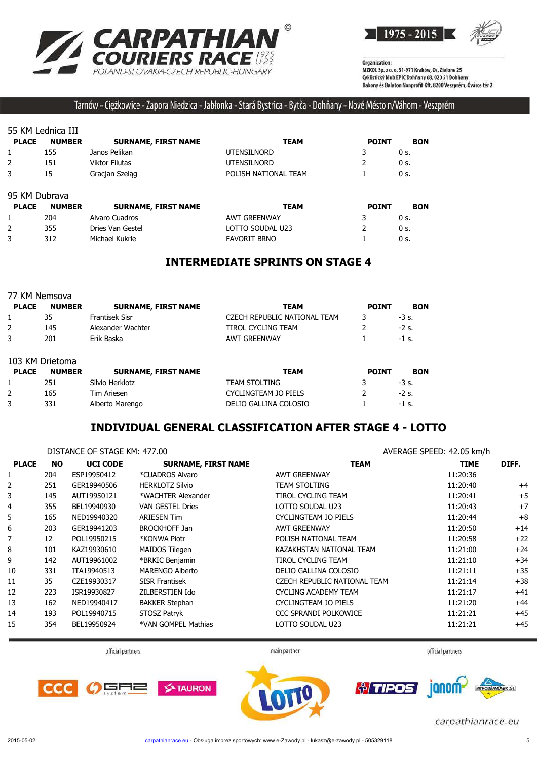



#### Tarnów - Ciężkowice - Zapora Niedzica - Jabłonka - Stará Bystrica - Bytča - Dohňany - Nové Mésto n/Váhom - Veszprém

#### 55 KM Lednica III

| <b>PLACE</b> | <b>NUMBER</b> | <b>SURNAME, FIRST NAME</b> | TEAM                 | <b>POINT</b> | <b>BON</b> |
|--------------|---------------|----------------------------|----------------------|--------------|------------|
|              | 155           | Janos Pelikan              | <b>UTENSILNORD</b>   |              | 0 s.       |
|              | 151           | Viktor Filutas             | <b>UTENSILNORD</b>   |              | 0 s.       |
|              | 15            | Gracjan Szelag             | POLISH NATIONAL TEAM |              | 0 s.       |

#### 95 KM Dubrava

| <b>PLACE</b> | <b>NUMBER</b> | <b>SURNAME, FIRST NAME</b> | TEAM                | <b>POINT</b> | <b>BON</b> |
|--------------|---------------|----------------------------|---------------------|--------------|------------|
|              | 204           | Alvaro Cuadros             | AWT GREENWAY        |              | $0s$ .     |
|              | 355           | Dries Van Gestel           | LOTTO SOUDAL U23    |              | 0 s.       |
|              | 312           | Michael Kukrle             | <b>FAVORIT BRNO</b> |              | $0s$ .     |

#### **INTERMEDIATE SPRINTS ON STAGE 4**

| 77 KM Nemsova |                 |                            |                              |              |            |
|---------------|-----------------|----------------------------|------------------------------|--------------|------------|
| <b>PLACE</b>  | <b>NUMBER</b>   | <b>SURNAME, FIRST NAME</b> | TEAM                         | <b>POINT</b> | <b>BON</b> |
| 1             | 35              | <b>Frantisek Sisr</b>      | CZECH REPUBLIC NATIONAL TEAM | 3            | $-3$ s.    |
| 2             | 145             | Alexander Wachter          | TIROL CYCLING TEAM           |              | $-2s$ .    |
| 3             | 201             | Erik Baska                 | <b>AWT GREENWAY</b>          |              | $-1$ s.    |
|               | 103 KM Drietoma |                            |                              |              |            |
| <b>PLACE</b>  | <b>NUMBER</b>   | <b>SURNAME, FIRST NAME</b> | <b>TEAM</b>                  | <b>POINT</b> | <b>BON</b> |
|               | 251             | Silvio Herklotz            | <b>TEAM STOLTING</b>         |              | $-3$ s.    |
| 2             | 165             | Tim Ariesen                | CYCLINGTEAM JO PIELS         |              | $-2$ s.    |
| 3             | 331             | Alberto Marengo            | DELIO GALLINA COLOSIO        |              | $-1$ s.    |

#### **INDIVIDUAL GENERAL CLASSIFICATION AFTER STAGE 4 - LOTTO**

|              | DISTANCE OF STAGE KM: 477.00 |                 |                            | AVERAGE SPEED: 42.05 km/h    |             |       |
|--------------|------------------------------|-----------------|----------------------------|------------------------------|-------------|-------|
| <b>PLACE</b> | <b>NO</b>                    | <b>UCI CODE</b> | <b>SURNAME, FIRST NAME</b> | <b>TEAM</b>                  | <b>TIME</b> | DIFF. |
| 1            | 204                          | ESP19950412     | *CUADROS Alvaro            | <b>AWT GREENWAY</b>          | 11:20:36    |       |
| 2            | 251                          | GER19940506     | <b>HERKLOTZ Silvio</b>     | <b>TEAM STOLTING</b>         | 11:20:40    | $+4$  |
| 3            | 145                          | AUT19950121     | *WACHTER Alexander         | <b>TIROL CYCLING TEAM</b>    | 11:20:41    | $+5$  |
| 4            | 355                          | BEL19940930     | <b>VAN GESTEL Dries</b>    | LOTTO SOUDAL U23             | 11:20:43    | $+7$  |
| 5            | 165                          | NED19940320     | <b>ARIESEN Tim</b>         | CYCLINGTEAM JO PIELS         | 11:20:44    | $+8$  |
| 6            | 203                          | GER19941203     | <b>BROCKHOFF Jan</b>       | <b>AWT GREENWAY</b>          | 11:20:50    | $+14$ |
| 7            | 12                           | POL19950215     | *KONWA Piotr               | POLISH NATIONAL TEAM         | 11:20:58    | $+22$ |
| 8            | 101                          | KAZ19930610     | MAIDOS Tilegen             | KAZAKHSTAN NATIONAL TEAM     | 11:21:00    | $+24$ |
| 9            | 142                          | AUT19961002     | *BRKIC Benjamin            | <b>TIROL CYCLING TEAM</b>    | 11:21:10    | $+34$ |
| 10           | 331                          | ITA19940513     | <b>MARENGO Alberto</b>     | DELIO GALLINA COLOSIO        | 11:21:11    | $+35$ |
| 11           | 35                           | CZE19930317     | <b>SISR Frantisek</b>      | CZECH REPUBLIC NATIONAL TEAM | 11:21:14    | $+38$ |
| 12           | 223                          | ISR19930827     | ZILBERSTIEN Ido            | CYCLING ACADEMY TEAM         | 11:21:17    | $+41$ |
| 13           | 162                          | NED19940417     | <b>BAKKER Stephan</b>      | CYCLINGTEAM JO PIELS         | 11:21:20    | $+44$ |
| 14           | 193                          | POL19940715     | STOSZ Patryk               | CCC SPRANDI POLKOWICE        | 11:21:21    | $+45$ |
| 15           | 354                          | BEL19950924     | *VAN GOMPEL Mathias        | LOTTO SOUDAL U23             | 11:21:21    | $+45$ |

official partners

main partner

official partners

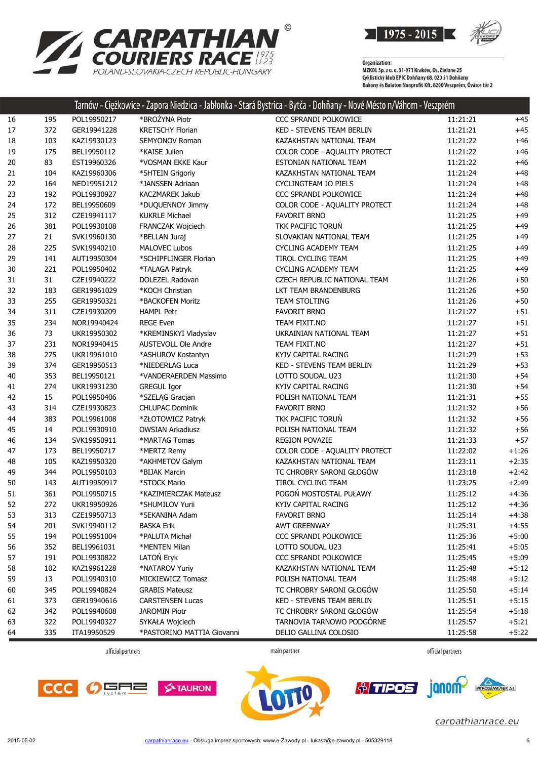

|    |     |             |                          | Tarnów - Ciężkowice - Zapora Niedzica - Jabłonka - Stará Bystrica - Bytča - Dohňany - Nové Mésto n/Váhom - Veszprém |          |         |
|----|-----|-------------|--------------------------|---------------------------------------------------------------------------------------------------------------------|----------|---------|
| 16 | 195 | POL19950217 | *BROŻYNA Piotr           | CCC SPRANDI POLKOWICE                                                                                               | 11:21:21 | $+45$   |
| 17 | 372 | GER19941228 | <b>KRETSCHY Florian</b>  | KED - STEVENS TEAM BERLIN                                                                                           | 11:21:21 | $+45$   |
| 18 | 103 | KAZ19930123 | SEMYONOV Roman           | KAZAKHSTAN NATIONAL TEAM                                                                                            | 11:21:22 | $+46$   |
| 19 | 175 | BEL19950112 | *KAISE Julien            | COLOR CODE - AQUALITY PROTECT                                                                                       | 11:21:22 | $+46$   |
| 20 | 83  | EST19960326 | *VOSMAN EKKE Kaur        | ESTONIAN NATIONAL TEAM                                                                                              | 11:21:22 | $+46$   |
| 21 | 104 | KAZ19960306 | *SHTEIN Grigoriy         | KAZAKHSTAN NATIONAL TEAM                                                                                            | 11:21:24 | $+48$   |
| 22 | 164 | NED19951212 | *JANSSEN Adriaan         | CYCLINGTEAM JO PIELS                                                                                                | 11:21:24 | $+48$   |
| 23 | 192 | POL19930927 | <b>KACZMAREK Jakub</b>   | CCC SPRANDI POLKOWICE                                                                                               | 11:21:24 | $+48$   |
| 24 | 172 | BEL19950609 | *DUQUENNOY Jimmy         | COLOR CODE - AQUALITY PROTECT                                                                                       | 11:21:24 | $+48$   |
| 25 | 312 | CZE19941117 | <b>KUKRLE Michael</b>    | <b>FAVORIT BRNO</b>                                                                                                 | 11:21:25 | $+49$   |
| 26 | 381 | POL19930108 | <b>FRANCZAK Wojciech</b> | TKK PACIFIC TORUN                                                                                                   | 11:21:25 | $+49$   |
| 27 | 21  | SVK19960130 | *BELLAN Juraj            | SLOVAKIAN NATIONAL TEAM                                                                                             | 11:21:25 | $+49$   |
| 28 | 225 | SVK19940210 | <b>MALOVEC Lubos</b>     | <b>CYCLING ACADEMY TEAM</b>                                                                                         | 11:21:25 | $+49$   |
| 29 | 141 | AUT19950304 | *SCHIPFLINGER Florian    | TIROL CYCLING TEAM                                                                                                  | 11:21:25 | $+49$   |
| 30 | 221 | POL19950402 | *TALAGA Patryk           | <b>CYCLING ACADEMY TEAM</b>                                                                                         | 11:21:25 | $+49$   |
| 31 | 31  | CZE19940222 | DOLEZEL Radovan          | CZECH REPUBLIC NATIONAL TEAM                                                                                        | 11:21:26 | $+50$   |
| 32 | 183 | GER19961029 | *KOCH Christian          | LKT TEAM BRANDENBURG                                                                                                | 11:21:26 | $+50$   |
| 33 | 255 | GER19950321 | *BACKOFEN Moritz         | <b>TEAM STOLTING</b>                                                                                                | 11:21:26 | $+50$   |
| 34 | 311 | CZE19930209 | <b>HAMPL Petr</b>        | <b>FAVORIT BRNO</b>                                                                                                 | 11:21:27 | $+51$   |
| 35 | 234 | NOR19940424 | <b>REGE Even</b>         | TEAM FIXIT.NO                                                                                                       | 11:21:27 | $+51$   |
| 36 | 73  | UKR19950302 | *KREMINSKYI Vladyslav    | UKRAINIAN NATIONAL TEAM                                                                                             | 11:21:27 | $+51$   |
| 37 | 231 | NOR19940415 | AUSTEVOLL Ole Andre      | TEAM FIXIT.NO                                                                                                       | 11:21:27 | $+51$   |
| 38 | 275 | UKR19961010 | *ASHUROV Kostantyn       | KYIV CAPITAL RACING                                                                                                 | 11:21:29 | $+53$   |
| 39 | 374 | GER19950513 | *NIEDERLAG Luca          | <b>KED - STEVENS TEAM BERLIN</b>                                                                                    | 11:21:29 | $+53$   |
| 40 | 353 | BEL19950121 | *VANDERAERDEN Massimo    | LOTTO SOUDAL U23                                                                                                    | 11:21:30 | $+54$   |
| 41 | 274 | UKR19931230 | <b>GREGUL Igor</b>       | KYIV CAPITAL RACING                                                                                                 | 11:21:30 | $+54$   |
| 42 | 15  | POL19950406 | *SZELĄG Gracjan          | POLISH NATIONAL TEAM                                                                                                | 11:21:31 | $+55$   |
| 43 | 314 | CZE19930823 | <b>CHLUPAC Dominik</b>   | <b>FAVORIT BRNO</b>                                                                                                 | 11:21:32 | $+56$   |
| 44 | 383 | POL19961008 | *ZŁOTOWICZ Patryk        | TKK PACIFIC TORUN                                                                                                   | 11:21:32 | $+56$   |
| 45 | 14  | POL19930910 | <b>OWSIAN Arkadiusz</b>  | POLISH NATIONAL TEAM                                                                                                | 11:21:32 | $+56$   |
| 46 | 134 | SVK19950911 | *MARTAG Tomas            | <b>REGION POVAZIE</b>                                                                                               | 11:21:33 | $+57$   |
| 47 | 173 | BEL19950717 | *MERTZ Remy              | COLOR CODE - AQUALITY PROTECT                                                                                       | 11:22:02 | $+1:26$ |
| 48 | 105 | KAZ19950320 | *AKHMETOV Galym          | KAZAKHSTAN NATIONAL TEAM                                                                                            | 11:23:11 | $+2:35$ |
| 49 | 344 | POL19950103 | *BIJAK Marcin            | TC CHROBRY SARONI GŁOGÓW                                                                                            | 11:23:18 | $+2:42$ |
| 50 | 143 | AUT19950917 | *STOCK Mario             | TIROL CYCLING TEAM                                                                                                  | 11:23:25 | $+2:49$ |
| 51 | 361 | POL19950715 | *KAZIMIERCZAK Mateusz    | POGOŃ MOSTOSTAL PUŁAWY                                                                                              | 11:25:12 | $+4:36$ |
| 52 | 272 | UKR19950926 | *SHUMILOV Yurii          | KYIV CAPITAL RACING                                                                                                 | 11:25:12 | $+4:36$ |
| 53 | 313 | CZE19950713 | *SEKANINA Adam           | <b>FAVORIT BRNO</b>                                                                                                 | 11:25:14 | $+4:38$ |
| 54 | 201 | SVK19940112 | BASKA Erik               | AWT GREENWAY                                                                                                        | 11:25:31 | $+4:55$ |
| 55 | 194 | POL19951004 | *PALUTA Michał           | CCC SPRANDI POLKOWICE                                                                                               | 11:25:36 | $+5:00$ |
| 56 | 352 | BEL19961031 | *MENTEN Milan            | LOTTO SOUDAL U23                                                                                                    | 11:25:41 | $+5:05$ |
| 57 | 191 | POL19930822 | LATON Eryk               | CCC SPRANDI POLKOWICE                                                                                               | 11:25:45 | $+5:09$ |
| 58 | 102 | KAZ19961228 | *NATAROV Yuriy           | KAZAKHSTAN NATIONAL TEAM                                                                                            | 11:25:48 | $+5:12$ |
| 59 | 13  | POL19940310 | MICKIEWICZ Tomasz        | POLISH NATIONAL TEAM                                                                                                | 11:25:48 | $+5:12$ |
| 60 | 345 | POL19940824 | <b>GRABIS Mateusz</b>    | TC CHROBRY SARONI GŁOGÓW                                                                                            | 11:25:50 | $+5:14$ |
| 61 | 373 | GER19940616 | <b>CARSTENSEN Lucas</b>  | KED - STEVENS TEAM BERLIN                                                                                           | 11:25:51 | $+5:15$ |
| 62 | 342 | POL19940608 | <b>JAROMIN Piotr</b>     | TC CHROBRY SARONI GŁOGÓW                                                                                            | 11:25:54 | $+5:18$ |
| 63 | 322 | POL19940327 | SYKAŁA Wojciech          | TARNOVIA TARNOWO PODGÓRNE                                                                                           | 11:25:57 | $+5:21$ |
|    |     |             |                          |                                                                                                                     |          |         |

 $\odot$ 

**CARPATHIAN** 

POLAND-SLOVAKIA-CZECH REPUBLIC-HUNGARY

official partners

main partner

335 ITA19950529 \*PASTORINO MATTIA Giovanni DELIO GALLINA COLOSIO 11:25:58 +5:22

official partners







janom-*† TIPOS* 

carpathianrace.eu

 $\overline{2n}$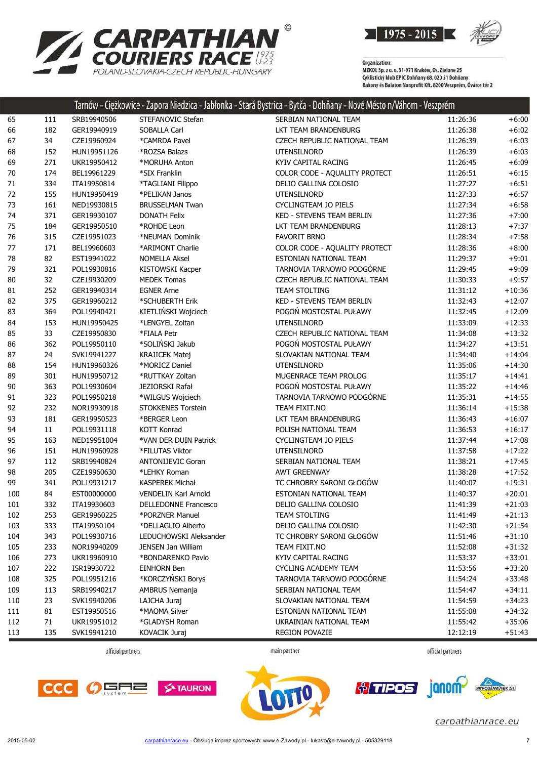

**SECTION** 

| <b>ZARPATHIAN</b>                      |
|----------------------------------------|
| <b>COURIERS RACE ##</b>                |
| POLAND-SLOVAKIA-CZECH REPUBLIC-HUNGARY |

| 65<br>SERBIAN NATIONAL TEAM<br>111<br>SRB19940506<br>STEFANOVIC Stefan<br>11:26:36<br>$+6:00$<br>66<br>182<br>GER19940919<br>SOBALLA Carl<br>LKT TEAM BRANDENBURG<br>11:26:38<br>$+6:02$<br>34<br>67<br>CZE19960924<br>*CAMRDA Pavel<br>CZECH REPUBLIC NATIONAL TEAM<br>11:26:39<br>$+6:03$<br>68<br>152<br>HUN19951126<br>*ROZSA Balazs<br>UTENSILNORD<br>11:26:39<br>$+6:03$<br>271<br>UKR19950412<br>KYIV CAPITAL RACING<br>$+6:09$<br>69<br>*MORUHA Anton<br>11:26:45<br>70<br>174<br>BEL19961229<br>*SIX Franklin<br>COLOR CODE - AQUALITY PROTECT<br>$+6:15$<br>11:26:51<br>334<br>71<br>ITA19950814<br>*TAGLIANI Filippo<br>DELIO GALLINA COLOSIO<br>11:27:27<br>$+6:51$<br>72<br>155<br>$+6:57$<br>HUN19950419<br>*PELIKAN Janos<br><b>UTENSILNORD</b><br>11:27:33<br>73<br>161<br>CYCLINGTEAM JO PIELS<br>$+6:58$<br>NED19930815<br><b>BRUSSELMAN Twan</b><br>11:27:34<br>371<br><b>KED - STEVENS TEAM BERLIN</b><br>74<br>GER19930107<br><b>DONATH Felix</b><br>11:27:36<br>$+7:00$<br>75<br>184<br>GER19950510<br>*ROHDE Leon<br>LKT TEAM BRANDENBURG<br>11:28:13<br>$+7:37$<br>315<br>76<br>CZE19951023<br>*NEUMAN Dominik<br><b>FAVORIT BRNO</b><br>11:28:34<br>$+7:58$<br>COLOR CODE - AQUALITY PROTECT<br>77<br>171<br>BEL19960603<br>*ARIMONT Charlie<br>$+8:00$<br>11:28:36<br>82<br>78<br>EST19941022<br><b>NOMELLA Aksel</b><br>ESTONIAN NATIONAL TEAM<br>11:29:37<br>$+9:01$<br>TARNOVIA TARNOWO PODGÓRNE<br>321<br>$+9:09$<br>79<br>POL19930816<br>KISTOWSKI Kacper<br>11:29:45<br>32<br>$+9:57$<br>80<br>CZE19930209<br><b>MEDEK Tomas</b><br>CZECH REPUBLIC NATIONAL TEAM<br>11:30:33<br>252<br>81<br>GER19940314<br><b>EGNER Arne</b><br><b>TEAM STOLTING</b><br>11:31:12<br>$+10:36$<br>375<br>KED - STEVENS TEAM BERLIN<br>82<br>GER19960212<br>*SCHUBERTH Erik<br>11:32:43<br>$+12:07$<br>364<br>KIETLIŃSKI Wojciech<br>POGOŃ MOSTOSTAL PUŁAWY<br>83<br>POL19940421<br>11:32:45<br>$+12:09$<br>*LENGYEL Zoltan<br><b>UTENSILNORD</b><br>84<br>153<br>HUN19950425<br>11:33:09<br>$+12:33$<br>85<br>33<br>CZE19950830<br>CZECH REPUBLIC NATIONAL TEAM<br>*FIALA Petr<br>11:34:08<br>$+13:32$<br>*SOLIŃSKI Jakub<br>POGOŃ MOSTOSTAL PUŁAWY<br>86<br>362<br>POL19950110<br>11:34:27<br>$+13:51$<br>87<br>24<br>SVK19941227<br><b>KRAJICEK Matej</b><br>SLOVAKIAN NATIONAL TEAM<br>11:34:40<br>$+14:04$<br>88<br>154<br>HUN19960326<br>*MORICZ Daniel<br><b>UTENSILNORD</b><br>$+14:30$<br>11:35:06<br>301<br>89<br>HUN19950712<br>*RUTTKAY Zoltan<br>MUGENRACE TEAM PROLOG<br>11:35:17<br>$+14:41$<br>POGOŃ MOSTOSTAL PUŁAWY<br>363<br>90<br>POL19930604<br>JEZIORSKI Rafał<br>11:35:22<br>$+14:46$<br>323<br>TARNOVIA TARNOWO PODGÓRNE<br>POL19950218<br>*WILGUS Wojciech<br>$+14:55$<br>91<br>11:35:31<br>232<br>92<br>NOR19930918<br><b>STOKKENES Torstein</b><br>TEAM FIXIT.NO<br>$+15:38$<br>11:36:14<br>181<br>93<br>GER19950523<br>LKT TEAM BRANDENBURG<br>$+16:07$<br>*BERGER Leon<br>11:36:43<br>94<br>11<br>POL19931118<br>KOTT Konrad<br>POLISH NATIONAL TEAM<br>11:36:53<br>$+16:17$<br>95<br>163<br>NED19951004<br>*VAN DER DUIN Patrick<br>CYCLINGTEAM JO PIELS<br>$+17:08$<br>11:37:44<br>151<br>96<br>HUN19960928<br>*FILUTAS Viktor<br><b>UTENSILNORD</b><br>11:37:58<br>$+17:22$<br>112<br>97<br>SRB19940824<br><b>ANTONIJEVIC Goran</b><br>SERBIAN NATIONAL TEAM<br>$+17:45$<br>11:38:21<br>98<br>205<br>CZE19960630<br>*LEHKY Roman<br><b>AWT GREENWAY</b><br>$+17:52$<br>11:38:28<br>99<br>341<br>POL19931217<br>KASPEREK Michał<br>TC CHROBRY SARONI GŁOGÓW<br>11:40:07<br>$+19:31$<br>84<br>100<br>EST00000000<br>VENDELIN Karl Arnold<br>ESTONIAN NATIONAL TEAM<br>$+20:01$<br>11:40:37<br>332<br>ITA19930603<br><b>DELLEDONNE Francesco</b><br>DELIO GALLINA COLOSIO<br>$+21:03$<br>101<br>11:41:39<br>102<br>253<br>GER19960225<br>*PORZNER Manuel<br><b>TEAM STOLTING</b><br>11:41:49<br>$+21:13$<br>103<br>333<br>*DELLAGLIO Alberto<br>DELIO GALLINA COLOSIO<br>11:42:30<br>$+21:54$<br>ITA19950104<br>104<br>343<br>TC CHROBRY SARONI GŁOGÓW<br>POL19930716<br>LEDUCHOWSKI Aleksander<br>11:51:46<br>$+31:10$<br>105<br>233<br>JENSEN Jan William<br>TEAM FIXIT.NO<br>NOR19940209<br>11:52:08<br>$+31:32$<br>273<br>106<br>*BONDARENKO Pavlo<br>KYIV CAPITAL RACING<br>$+33:01$<br>UKR19960910<br>11:53:37<br>107<br>222<br>EINHORN Ben<br>CYCLING ACADEMY TEAM<br>ISR19930722<br>11:53:56<br>$+33:20$<br>*KORCZYŃSKI Borys<br>TARNOVIA TARNOWO PODGÓRNE<br>108<br>325<br>POL19951216<br>11:54:24<br>$+33:48$<br>109<br>113<br>AMBRUS Nemanja<br>SERBIAN NATIONAL TEAM<br>SRB19940217<br>11:54:47<br>$+34:11$<br>23<br>110<br>SVK19940206<br>LAJCHA Juraj<br>SLOVAKIAN NATIONAL TEAM<br>11:54:59<br>$+34:23$<br>81<br>*MAOMA Silver<br>ESTONIAN NATIONAL TEAM<br>111<br>EST19950516<br>11:55:08<br>$+34:32$<br>71<br>112<br>UKR19951012<br>*GLADYSH Roman<br>UKRAINIAN NATIONAL TEAM<br>11:55:42<br>$+35:06$<br>113<br>135<br>REGION POVAZIE<br>$+51:43$<br>SVK19941210<br>KOVACIK Juraj<br>12:12:19 |  |  | Tarnow - Ciężkowice - Zapora Niedzica - Jabłonka - Stara Bystrica - Bytca - Donnany - Nove Mesto n/Vanom - Veszprem |  |
|-----------------------------------------------------------------------------------------------------------------------------------------------------------------------------------------------------------------------------------------------------------------------------------------------------------------------------------------------------------------------------------------------------------------------------------------------------------------------------------------------------------------------------------------------------------------------------------------------------------------------------------------------------------------------------------------------------------------------------------------------------------------------------------------------------------------------------------------------------------------------------------------------------------------------------------------------------------------------------------------------------------------------------------------------------------------------------------------------------------------------------------------------------------------------------------------------------------------------------------------------------------------------------------------------------------------------------------------------------------------------------------------------------------------------------------------------------------------------------------------------------------------------------------------------------------------------------------------------------------------------------------------------------------------------------------------------------------------------------------------------------------------------------------------------------------------------------------------------------------------------------------------------------------------------------------------------------------------------------------------------------------------------------------------------------------------------------------------------------------------------------------------------------------------------------------------------------------------------------------------------------------------------------------------------------------------------------------------------------------------------------------------------------------------------------------------------------------------------------------------------------------------------------------------------------------------------------------------------------------------------------------------------------------------------------------------------------------------------------------------------------------------------------------------------------------------------------------------------------------------------------------------------------------------------------------------------------------------------------------------------------------------------------------------------------------------------------------------------------------------------------------------------------------------------------------------------------------------------------------------------------------------------------------------------------------------------------------------------------------------------------------------------------------------------------------------------------------------------------------------------------------------------------------------------------------------------------------------------------------------------------------------------------------------------------------------------------------------------------------------------------------------------------------------------------------------------------------------------------------------------------------------------------------------------------------------------------------------------------------------------------------------------------------------------------------------------------------------------------------------------------------------------------------------------------------------------------------------------------------------------------------------------------------------------------------------------------------------------------------------------------------------------------------------------------------------------------------------------------------------------------------------------------------------------------------------------------------------------------------------------------------------------------------------------------------------------------------------------------------------------------------------------------------------------------------------------------------------------------------------------------------------------------------------------------------------------------------|--|--|---------------------------------------------------------------------------------------------------------------------|--|
|                                                                                                                                                                                                                                                                                                                                                                                                                                                                                                                                                                                                                                                                                                                                                                                                                                                                                                                                                                                                                                                                                                                                                                                                                                                                                                                                                                                                                                                                                                                                                                                                                                                                                                                                                                                                                                                                                                                                                                                                                                                                                                                                                                                                                                                                                                                                                                                                                                                                                                                                                                                                                                                                                                                                                                                                                                                                                                                                                                                                                                                                                                                                                                                                                                                                                                                                                                                                                                                                                                                                                                                                                                                                                                                                                                                                                                                                                                                                                                                                                                                                                                                                                                                                                                                                                                                                                                                                                                                                                                                                                                                                                                                                                                                                                                                                                                                                                                                                                           |  |  |                                                                                                                     |  |
|                                                                                                                                                                                                                                                                                                                                                                                                                                                                                                                                                                                                                                                                                                                                                                                                                                                                                                                                                                                                                                                                                                                                                                                                                                                                                                                                                                                                                                                                                                                                                                                                                                                                                                                                                                                                                                                                                                                                                                                                                                                                                                                                                                                                                                                                                                                                                                                                                                                                                                                                                                                                                                                                                                                                                                                                                                                                                                                                                                                                                                                                                                                                                                                                                                                                                                                                                                                                                                                                                                                                                                                                                                                                                                                                                                                                                                                                                                                                                                                                                                                                                                                                                                                                                                                                                                                                                                                                                                                                                                                                                                                                                                                                                                                                                                                                                                                                                                                                                           |  |  |                                                                                                                     |  |
|                                                                                                                                                                                                                                                                                                                                                                                                                                                                                                                                                                                                                                                                                                                                                                                                                                                                                                                                                                                                                                                                                                                                                                                                                                                                                                                                                                                                                                                                                                                                                                                                                                                                                                                                                                                                                                                                                                                                                                                                                                                                                                                                                                                                                                                                                                                                                                                                                                                                                                                                                                                                                                                                                                                                                                                                                                                                                                                                                                                                                                                                                                                                                                                                                                                                                                                                                                                                                                                                                                                                                                                                                                                                                                                                                                                                                                                                                                                                                                                                                                                                                                                                                                                                                                                                                                                                                                                                                                                                                                                                                                                                                                                                                                                                                                                                                                                                                                                                                           |  |  |                                                                                                                     |  |
|                                                                                                                                                                                                                                                                                                                                                                                                                                                                                                                                                                                                                                                                                                                                                                                                                                                                                                                                                                                                                                                                                                                                                                                                                                                                                                                                                                                                                                                                                                                                                                                                                                                                                                                                                                                                                                                                                                                                                                                                                                                                                                                                                                                                                                                                                                                                                                                                                                                                                                                                                                                                                                                                                                                                                                                                                                                                                                                                                                                                                                                                                                                                                                                                                                                                                                                                                                                                                                                                                                                                                                                                                                                                                                                                                                                                                                                                                                                                                                                                                                                                                                                                                                                                                                                                                                                                                                                                                                                                                                                                                                                                                                                                                                                                                                                                                                                                                                                                                           |  |  |                                                                                                                     |  |
|                                                                                                                                                                                                                                                                                                                                                                                                                                                                                                                                                                                                                                                                                                                                                                                                                                                                                                                                                                                                                                                                                                                                                                                                                                                                                                                                                                                                                                                                                                                                                                                                                                                                                                                                                                                                                                                                                                                                                                                                                                                                                                                                                                                                                                                                                                                                                                                                                                                                                                                                                                                                                                                                                                                                                                                                                                                                                                                                                                                                                                                                                                                                                                                                                                                                                                                                                                                                                                                                                                                                                                                                                                                                                                                                                                                                                                                                                                                                                                                                                                                                                                                                                                                                                                                                                                                                                                                                                                                                                                                                                                                                                                                                                                                                                                                                                                                                                                                                                           |  |  |                                                                                                                     |  |
|                                                                                                                                                                                                                                                                                                                                                                                                                                                                                                                                                                                                                                                                                                                                                                                                                                                                                                                                                                                                                                                                                                                                                                                                                                                                                                                                                                                                                                                                                                                                                                                                                                                                                                                                                                                                                                                                                                                                                                                                                                                                                                                                                                                                                                                                                                                                                                                                                                                                                                                                                                                                                                                                                                                                                                                                                                                                                                                                                                                                                                                                                                                                                                                                                                                                                                                                                                                                                                                                                                                                                                                                                                                                                                                                                                                                                                                                                                                                                                                                                                                                                                                                                                                                                                                                                                                                                                                                                                                                                                                                                                                                                                                                                                                                                                                                                                                                                                                                                           |  |  |                                                                                                                     |  |
|                                                                                                                                                                                                                                                                                                                                                                                                                                                                                                                                                                                                                                                                                                                                                                                                                                                                                                                                                                                                                                                                                                                                                                                                                                                                                                                                                                                                                                                                                                                                                                                                                                                                                                                                                                                                                                                                                                                                                                                                                                                                                                                                                                                                                                                                                                                                                                                                                                                                                                                                                                                                                                                                                                                                                                                                                                                                                                                                                                                                                                                                                                                                                                                                                                                                                                                                                                                                                                                                                                                                                                                                                                                                                                                                                                                                                                                                                                                                                                                                                                                                                                                                                                                                                                                                                                                                                                                                                                                                                                                                                                                                                                                                                                                                                                                                                                                                                                                                                           |  |  |                                                                                                                     |  |
|                                                                                                                                                                                                                                                                                                                                                                                                                                                                                                                                                                                                                                                                                                                                                                                                                                                                                                                                                                                                                                                                                                                                                                                                                                                                                                                                                                                                                                                                                                                                                                                                                                                                                                                                                                                                                                                                                                                                                                                                                                                                                                                                                                                                                                                                                                                                                                                                                                                                                                                                                                                                                                                                                                                                                                                                                                                                                                                                                                                                                                                                                                                                                                                                                                                                                                                                                                                                                                                                                                                                                                                                                                                                                                                                                                                                                                                                                                                                                                                                                                                                                                                                                                                                                                                                                                                                                                                                                                                                                                                                                                                                                                                                                                                                                                                                                                                                                                                                                           |  |  |                                                                                                                     |  |
|                                                                                                                                                                                                                                                                                                                                                                                                                                                                                                                                                                                                                                                                                                                                                                                                                                                                                                                                                                                                                                                                                                                                                                                                                                                                                                                                                                                                                                                                                                                                                                                                                                                                                                                                                                                                                                                                                                                                                                                                                                                                                                                                                                                                                                                                                                                                                                                                                                                                                                                                                                                                                                                                                                                                                                                                                                                                                                                                                                                                                                                                                                                                                                                                                                                                                                                                                                                                                                                                                                                                                                                                                                                                                                                                                                                                                                                                                                                                                                                                                                                                                                                                                                                                                                                                                                                                                                                                                                                                                                                                                                                                                                                                                                                                                                                                                                                                                                                                                           |  |  |                                                                                                                     |  |
|                                                                                                                                                                                                                                                                                                                                                                                                                                                                                                                                                                                                                                                                                                                                                                                                                                                                                                                                                                                                                                                                                                                                                                                                                                                                                                                                                                                                                                                                                                                                                                                                                                                                                                                                                                                                                                                                                                                                                                                                                                                                                                                                                                                                                                                                                                                                                                                                                                                                                                                                                                                                                                                                                                                                                                                                                                                                                                                                                                                                                                                                                                                                                                                                                                                                                                                                                                                                                                                                                                                                                                                                                                                                                                                                                                                                                                                                                                                                                                                                                                                                                                                                                                                                                                                                                                                                                                                                                                                                                                                                                                                                                                                                                                                                                                                                                                                                                                                                                           |  |  |                                                                                                                     |  |
|                                                                                                                                                                                                                                                                                                                                                                                                                                                                                                                                                                                                                                                                                                                                                                                                                                                                                                                                                                                                                                                                                                                                                                                                                                                                                                                                                                                                                                                                                                                                                                                                                                                                                                                                                                                                                                                                                                                                                                                                                                                                                                                                                                                                                                                                                                                                                                                                                                                                                                                                                                                                                                                                                                                                                                                                                                                                                                                                                                                                                                                                                                                                                                                                                                                                                                                                                                                                                                                                                                                                                                                                                                                                                                                                                                                                                                                                                                                                                                                                                                                                                                                                                                                                                                                                                                                                                                                                                                                                                                                                                                                                                                                                                                                                                                                                                                                                                                                                                           |  |  |                                                                                                                     |  |
|                                                                                                                                                                                                                                                                                                                                                                                                                                                                                                                                                                                                                                                                                                                                                                                                                                                                                                                                                                                                                                                                                                                                                                                                                                                                                                                                                                                                                                                                                                                                                                                                                                                                                                                                                                                                                                                                                                                                                                                                                                                                                                                                                                                                                                                                                                                                                                                                                                                                                                                                                                                                                                                                                                                                                                                                                                                                                                                                                                                                                                                                                                                                                                                                                                                                                                                                                                                                                                                                                                                                                                                                                                                                                                                                                                                                                                                                                                                                                                                                                                                                                                                                                                                                                                                                                                                                                                                                                                                                                                                                                                                                                                                                                                                                                                                                                                                                                                                                                           |  |  |                                                                                                                     |  |
|                                                                                                                                                                                                                                                                                                                                                                                                                                                                                                                                                                                                                                                                                                                                                                                                                                                                                                                                                                                                                                                                                                                                                                                                                                                                                                                                                                                                                                                                                                                                                                                                                                                                                                                                                                                                                                                                                                                                                                                                                                                                                                                                                                                                                                                                                                                                                                                                                                                                                                                                                                                                                                                                                                                                                                                                                                                                                                                                                                                                                                                                                                                                                                                                                                                                                                                                                                                                                                                                                                                                                                                                                                                                                                                                                                                                                                                                                                                                                                                                                                                                                                                                                                                                                                                                                                                                                                                                                                                                                                                                                                                                                                                                                                                                                                                                                                                                                                                                                           |  |  |                                                                                                                     |  |
|                                                                                                                                                                                                                                                                                                                                                                                                                                                                                                                                                                                                                                                                                                                                                                                                                                                                                                                                                                                                                                                                                                                                                                                                                                                                                                                                                                                                                                                                                                                                                                                                                                                                                                                                                                                                                                                                                                                                                                                                                                                                                                                                                                                                                                                                                                                                                                                                                                                                                                                                                                                                                                                                                                                                                                                                                                                                                                                                                                                                                                                                                                                                                                                                                                                                                                                                                                                                                                                                                                                                                                                                                                                                                                                                                                                                                                                                                                                                                                                                                                                                                                                                                                                                                                                                                                                                                                                                                                                                                                                                                                                                                                                                                                                                                                                                                                                                                                                                                           |  |  |                                                                                                                     |  |
|                                                                                                                                                                                                                                                                                                                                                                                                                                                                                                                                                                                                                                                                                                                                                                                                                                                                                                                                                                                                                                                                                                                                                                                                                                                                                                                                                                                                                                                                                                                                                                                                                                                                                                                                                                                                                                                                                                                                                                                                                                                                                                                                                                                                                                                                                                                                                                                                                                                                                                                                                                                                                                                                                                                                                                                                                                                                                                                                                                                                                                                                                                                                                                                                                                                                                                                                                                                                                                                                                                                                                                                                                                                                                                                                                                                                                                                                                                                                                                                                                                                                                                                                                                                                                                                                                                                                                                                                                                                                                                                                                                                                                                                                                                                                                                                                                                                                                                                                                           |  |  |                                                                                                                     |  |
|                                                                                                                                                                                                                                                                                                                                                                                                                                                                                                                                                                                                                                                                                                                                                                                                                                                                                                                                                                                                                                                                                                                                                                                                                                                                                                                                                                                                                                                                                                                                                                                                                                                                                                                                                                                                                                                                                                                                                                                                                                                                                                                                                                                                                                                                                                                                                                                                                                                                                                                                                                                                                                                                                                                                                                                                                                                                                                                                                                                                                                                                                                                                                                                                                                                                                                                                                                                                                                                                                                                                                                                                                                                                                                                                                                                                                                                                                                                                                                                                                                                                                                                                                                                                                                                                                                                                                                                                                                                                                                                                                                                                                                                                                                                                                                                                                                                                                                                                                           |  |  |                                                                                                                     |  |
|                                                                                                                                                                                                                                                                                                                                                                                                                                                                                                                                                                                                                                                                                                                                                                                                                                                                                                                                                                                                                                                                                                                                                                                                                                                                                                                                                                                                                                                                                                                                                                                                                                                                                                                                                                                                                                                                                                                                                                                                                                                                                                                                                                                                                                                                                                                                                                                                                                                                                                                                                                                                                                                                                                                                                                                                                                                                                                                                                                                                                                                                                                                                                                                                                                                                                                                                                                                                                                                                                                                                                                                                                                                                                                                                                                                                                                                                                                                                                                                                                                                                                                                                                                                                                                                                                                                                                                                                                                                                                                                                                                                                                                                                                                                                                                                                                                                                                                                                                           |  |  |                                                                                                                     |  |
|                                                                                                                                                                                                                                                                                                                                                                                                                                                                                                                                                                                                                                                                                                                                                                                                                                                                                                                                                                                                                                                                                                                                                                                                                                                                                                                                                                                                                                                                                                                                                                                                                                                                                                                                                                                                                                                                                                                                                                                                                                                                                                                                                                                                                                                                                                                                                                                                                                                                                                                                                                                                                                                                                                                                                                                                                                                                                                                                                                                                                                                                                                                                                                                                                                                                                                                                                                                                                                                                                                                                                                                                                                                                                                                                                                                                                                                                                                                                                                                                                                                                                                                                                                                                                                                                                                                                                                                                                                                                                                                                                                                                                                                                                                                                                                                                                                                                                                                                                           |  |  |                                                                                                                     |  |
|                                                                                                                                                                                                                                                                                                                                                                                                                                                                                                                                                                                                                                                                                                                                                                                                                                                                                                                                                                                                                                                                                                                                                                                                                                                                                                                                                                                                                                                                                                                                                                                                                                                                                                                                                                                                                                                                                                                                                                                                                                                                                                                                                                                                                                                                                                                                                                                                                                                                                                                                                                                                                                                                                                                                                                                                                                                                                                                                                                                                                                                                                                                                                                                                                                                                                                                                                                                                                                                                                                                                                                                                                                                                                                                                                                                                                                                                                                                                                                                                                                                                                                                                                                                                                                                                                                                                                                                                                                                                                                                                                                                                                                                                                                                                                                                                                                                                                                                                                           |  |  |                                                                                                                     |  |
|                                                                                                                                                                                                                                                                                                                                                                                                                                                                                                                                                                                                                                                                                                                                                                                                                                                                                                                                                                                                                                                                                                                                                                                                                                                                                                                                                                                                                                                                                                                                                                                                                                                                                                                                                                                                                                                                                                                                                                                                                                                                                                                                                                                                                                                                                                                                                                                                                                                                                                                                                                                                                                                                                                                                                                                                                                                                                                                                                                                                                                                                                                                                                                                                                                                                                                                                                                                                                                                                                                                                                                                                                                                                                                                                                                                                                                                                                                                                                                                                                                                                                                                                                                                                                                                                                                                                                                                                                                                                                                                                                                                                                                                                                                                                                                                                                                                                                                                                                           |  |  |                                                                                                                     |  |
|                                                                                                                                                                                                                                                                                                                                                                                                                                                                                                                                                                                                                                                                                                                                                                                                                                                                                                                                                                                                                                                                                                                                                                                                                                                                                                                                                                                                                                                                                                                                                                                                                                                                                                                                                                                                                                                                                                                                                                                                                                                                                                                                                                                                                                                                                                                                                                                                                                                                                                                                                                                                                                                                                                                                                                                                                                                                                                                                                                                                                                                                                                                                                                                                                                                                                                                                                                                                                                                                                                                                                                                                                                                                                                                                                                                                                                                                                                                                                                                                                                                                                                                                                                                                                                                                                                                                                                                                                                                                                                                                                                                                                                                                                                                                                                                                                                                                                                                                                           |  |  |                                                                                                                     |  |
|                                                                                                                                                                                                                                                                                                                                                                                                                                                                                                                                                                                                                                                                                                                                                                                                                                                                                                                                                                                                                                                                                                                                                                                                                                                                                                                                                                                                                                                                                                                                                                                                                                                                                                                                                                                                                                                                                                                                                                                                                                                                                                                                                                                                                                                                                                                                                                                                                                                                                                                                                                                                                                                                                                                                                                                                                                                                                                                                                                                                                                                                                                                                                                                                                                                                                                                                                                                                                                                                                                                                                                                                                                                                                                                                                                                                                                                                                                                                                                                                                                                                                                                                                                                                                                                                                                                                                                                                                                                                                                                                                                                                                                                                                                                                                                                                                                                                                                                                                           |  |  |                                                                                                                     |  |
|                                                                                                                                                                                                                                                                                                                                                                                                                                                                                                                                                                                                                                                                                                                                                                                                                                                                                                                                                                                                                                                                                                                                                                                                                                                                                                                                                                                                                                                                                                                                                                                                                                                                                                                                                                                                                                                                                                                                                                                                                                                                                                                                                                                                                                                                                                                                                                                                                                                                                                                                                                                                                                                                                                                                                                                                                                                                                                                                                                                                                                                                                                                                                                                                                                                                                                                                                                                                                                                                                                                                                                                                                                                                                                                                                                                                                                                                                                                                                                                                                                                                                                                                                                                                                                                                                                                                                                                                                                                                                                                                                                                                                                                                                                                                                                                                                                                                                                                                                           |  |  |                                                                                                                     |  |
|                                                                                                                                                                                                                                                                                                                                                                                                                                                                                                                                                                                                                                                                                                                                                                                                                                                                                                                                                                                                                                                                                                                                                                                                                                                                                                                                                                                                                                                                                                                                                                                                                                                                                                                                                                                                                                                                                                                                                                                                                                                                                                                                                                                                                                                                                                                                                                                                                                                                                                                                                                                                                                                                                                                                                                                                                                                                                                                                                                                                                                                                                                                                                                                                                                                                                                                                                                                                                                                                                                                                                                                                                                                                                                                                                                                                                                                                                                                                                                                                                                                                                                                                                                                                                                                                                                                                                                                                                                                                                                                                                                                                                                                                                                                                                                                                                                                                                                                                                           |  |  |                                                                                                                     |  |
|                                                                                                                                                                                                                                                                                                                                                                                                                                                                                                                                                                                                                                                                                                                                                                                                                                                                                                                                                                                                                                                                                                                                                                                                                                                                                                                                                                                                                                                                                                                                                                                                                                                                                                                                                                                                                                                                                                                                                                                                                                                                                                                                                                                                                                                                                                                                                                                                                                                                                                                                                                                                                                                                                                                                                                                                                                                                                                                                                                                                                                                                                                                                                                                                                                                                                                                                                                                                                                                                                                                                                                                                                                                                                                                                                                                                                                                                                                                                                                                                                                                                                                                                                                                                                                                                                                                                                                                                                                                                                                                                                                                                                                                                                                                                                                                                                                                                                                                                                           |  |  |                                                                                                                     |  |
|                                                                                                                                                                                                                                                                                                                                                                                                                                                                                                                                                                                                                                                                                                                                                                                                                                                                                                                                                                                                                                                                                                                                                                                                                                                                                                                                                                                                                                                                                                                                                                                                                                                                                                                                                                                                                                                                                                                                                                                                                                                                                                                                                                                                                                                                                                                                                                                                                                                                                                                                                                                                                                                                                                                                                                                                                                                                                                                                                                                                                                                                                                                                                                                                                                                                                                                                                                                                                                                                                                                                                                                                                                                                                                                                                                                                                                                                                                                                                                                                                                                                                                                                                                                                                                                                                                                                                                                                                                                                                                                                                                                                                                                                                                                                                                                                                                                                                                                                                           |  |  |                                                                                                                     |  |
|                                                                                                                                                                                                                                                                                                                                                                                                                                                                                                                                                                                                                                                                                                                                                                                                                                                                                                                                                                                                                                                                                                                                                                                                                                                                                                                                                                                                                                                                                                                                                                                                                                                                                                                                                                                                                                                                                                                                                                                                                                                                                                                                                                                                                                                                                                                                                                                                                                                                                                                                                                                                                                                                                                                                                                                                                                                                                                                                                                                                                                                                                                                                                                                                                                                                                                                                                                                                                                                                                                                                                                                                                                                                                                                                                                                                                                                                                                                                                                                                                                                                                                                                                                                                                                                                                                                                                                                                                                                                                                                                                                                                                                                                                                                                                                                                                                                                                                                                                           |  |  |                                                                                                                     |  |
|                                                                                                                                                                                                                                                                                                                                                                                                                                                                                                                                                                                                                                                                                                                                                                                                                                                                                                                                                                                                                                                                                                                                                                                                                                                                                                                                                                                                                                                                                                                                                                                                                                                                                                                                                                                                                                                                                                                                                                                                                                                                                                                                                                                                                                                                                                                                                                                                                                                                                                                                                                                                                                                                                                                                                                                                                                                                                                                                                                                                                                                                                                                                                                                                                                                                                                                                                                                                                                                                                                                                                                                                                                                                                                                                                                                                                                                                                                                                                                                                                                                                                                                                                                                                                                                                                                                                                                                                                                                                                                                                                                                                                                                                                                                                                                                                                                                                                                                                                           |  |  |                                                                                                                     |  |
|                                                                                                                                                                                                                                                                                                                                                                                                                                                                                                                                                                                                                                                                                                                                                                                                                                                                                                                                                                                                                                                                                                                                                                                                                                                                                                                                                                                                                                                                                                                                                                                                                                                                                                                                                                                                                                                                                                                                                                                                                                                                                                                                                                                                                                                                                                                                                                                                                                                                                                                                                                                                                                                                                                                                                                                                                                                                                                                                                                                                                                                                                                                                                                                                                                                                                                                                                                                                                                                                                                                                                                                                                                                                                                                                                                                                                                                                                                                                                                                                                                                                                                                                                                                                                                                                                                                                                                                                                                                                                                                                                                                                                                                                                                                                                                                                                                                                                                                                                           |  |  |                                                                                                                     |  |
|                                                                                                                                                                                                                                                                                                                                                                                                                                                                                                                                                                                                                                                                                                                                                                                                                                                                                                                                                                                                                                                                                                                                                                                                                                                                                                                                                                                                                                                                                                                                                                                                                                                                                                                                                                                                                                                                                                                                                                                                                                                                                                                                                                                                                                                                                                                                                                                                                                                                                                                                                                                                                                                                                                                                                                                                                                                                                                                                                                                                                                                                                                                                                                                                                                                                                                                                                                                                                                                                                                                                                                                                                                                                                                                                                                                                                                                                                                                                                                                                                                                                                                                                                                                                                                                                                                                                                                                                                                                                                                                                                                                                                                                                                                                                                                                                                                                                                                                                                           |  |  |                                                                                                                     |  |
|                                                                                                                                                                                                                                                                                                                                                                                                                                                                                                                                                                                                                                                                                                                                                                                                                                                                                                                                                                                                                                                                                                                                                                                                                                                                                                                                                                                                                                                                                                                                                                                                                                                                                                                                                                                                                                                                                                                                                                                                                                                                                                                                                                                                                                                                                                                                                                                                                                                                                                                                                                                                                                                                                                                                                                                                                                                                                                                                                                                                                                                                                                                                                                                                                                                                                                                                                                                                                                                                                                                                                                                                                                                                                                                                                                                                                                                                                                                                                                                                                                                                                                                                                                                                                                                                                                                                                                                                                                                                                                                                                                                                                                                                                                                                                                                                                                                                                                                                                           |  |  |                                                                                                                     |  |
|                                                                                                                                                                                                                                                                                                                                                                                                                                                                                                                                                                                                                                                                                                                                                                                                                                                                                                                                                                                                                                                                                                                                                                                                                                                                                                                                                                                                                                                                                                                                                                                                                                                                                                                                                                                                                                                                                                                                                                                                                                                                                                                                                                                                                                                                                                                                                                                                                                                                                                                                                                                                                                                                                                                                                                                                                                                                                                                                                                                                                                                                                                                                                                                                                                                                                                                                                                                                                                                                                                                                                                                                                                                                                                                                                                                                                                                                                                                                                                                                                                                                                                                                                                                                                                                                                                                                                                                                                                                                                                                                                                                                                                                                                                                                                                                                                                                                                                                                                           |  |  |                                                                                                                     |  |
|                                                                                                                                                                                                                                                                                                                                                                                                                                                                                                                                                                                                                                                                                                                                                                                                                                                                                                                                                                                                                                                                                                                                                                                                                                                                                                                                                                                                                                                                                                                                                                                                                                                                                                                                                                                                                                                                                                                                                                                                                                                                                                                                                                                                                                                                                                                                                                                                                                                                                                                                                                                                                                                                                                                                                                                                                                                                                                                                                                                                                                                                                                                                                                                                                                                                                                                                                                                                                                                                                                                                                                                                                                                                                                                                                                                                                                                                                                                                                                                                                                                                                                                                                                                                                                                                                                                                                                                                                                                                                                                                                                                                                                                                                                                                                                                                                                                                                                                                                           |  |  |                                                                                                                     |  |
|                                                                                                                                                                                                                                                                                                                                                                                                                                                                                                                                                                                                                                                                                                                                                                                                                                                                                                                                                                                                                                                                                                                                                                                                                                                                                                                                                                                                                                                                                                                                                                                                                                                                                                                                                                                                                                                                                                                                                                                                                                                                                                                                                                                                                                                                                                                                                                                                                                                                                                                                                                                                                                                                                                                                                                                                                                                                                                                                                                                                                                                                                                                                                                                                                                                                                                                                                                                                                                                                                                                                                                                                                                                                                                                                                                                                                                                                                                                                                                                                                                                                                                                                                                                                                                                                                                                                                                                                                                                                                                                                                                                                                                                                                                                                                                                                                                                                                                                                                           |  |  |                                                                                                                     |  |
|                                                                                                                                                                                                                                                                                                                                                                                                                                                                                                                                                                                                                                                                                                                                                                                                                                                                                                                                                                                                                                                                                                                                                                                                                                                                                                                                                                                                                                                                                                                                                                                                                                                                                                                                                                                                                                                                                                                                                                                                                                                                                                                                                                                                                                                                                                                                                                                                                                                                                                                                                                                                                                                                                                                                                                                                                                                                                                                                                                                                                                                                                                                                                                                                                                                                                                                                                                                                                                                                                                                                                                                                                                                                                                                                                                                                                                                                                                                                                                                                                                                                                                                                                                                                                                                                                                                                                                                                                                                                                                                                                                                                                                                                                                                                                                                                                                                                                                                                                           |  |  |                                                                                                                     |  |
|                                                                                                                                                                                                                                                                                                                                                                                                                                                                                                                                                                                                                                                                                                                                                                                                                                                                                                                                                                                                                                                                                                                                                                                                                                                                                                                                                                                                                                                                                                                                                                                                                                                                                                                                                                                                                                                                                                                                                                                                                                                                                                                                                                                                                                                                                                                                                                                                                                                                                                                                                                                                                                                                                                                                                                                                                                                                                                                                                                                                                                                                                                                                                                                                                                                                                                                                                                                                                                                                                                                                                                                                                                                                                                                                                                                                                                                                                                                                                                                                                                                                                                                                                                                                                                                                                                                                                                                                                                                                                                                                                                                                                                                                                                                                                                                                                                                                                                                                                           |  |  |                                                                                                                     |  |
|                                                                                                                                                                                                                                                                                                                                                                                                                                                                                                                                                                                                                                                                                                                                                                                                                                                                                                                                                                                                                                                                                                                                                                                                                                                                                                                                                                                                                                                                                                                                                                                                                                                                                                                                                                                                                                                                                                                                                                                                                                                                                                                                                                                                                                                                                                                                                                                                                                                                                                                                                                                                                                                                                                                                                                                                                                                                                                                                                                                                                                                                                                                                                                                                                                                                                                                                                                                                                                                                                                                                                                                                                                                                                                                                                                                                                                                                                                                                                                                                                                                                                                                                                                                                                                                                                                                                                                                                                                                                                                                                                                                                                                                                                                                                                                                                                                                                                                                                                           |  |  |                                                                                                                     |  |
|                                                                                                                                                                                                                                                                                                                                                                                                                                                                                                                                                                                                                                                                                                                                                                                                                                                                                                                                                                                                                                                                                                                                                                                                                                                                                                                                                                                                                                                                                                                                                                                                                                                                                                                                                                                                                                                                                                                                                                                                                                                                                                                                                                                                                                                                                                                                                                                                                                                                                                                                                                                                                                                                                                                                                                                                                                                                                                                                                                                                                                                                                                                                                                                                                                                                                                                                                                                                                                                                                                                                                                                                                                                                                                                                                                                                                                                                                                                                                                                                                                                                                                                                                                                                                                                                                                                                                                                                                                                                                                                                                                                                                                                                                                                                                                                                                                                                                                                                                           |  |  |                                                                                                                     |  |
|                                                                                                                                                                                                                                                                                                                                                                                                                                                                                                                                                                                                                                                                                                                                                                                                                                                                                                                                                                                                                                                                                                                                                                                                                                                                                                                                                                                                                                                                                                                                                                                                                                                                                                                                                                                                                                                                                                                                                                                                                                                                                                                                                                                                                                                                                                                                                                                                                                                                                                                                                                                                                                                                                                                                                                                                                                                                                                                                                                                                                                                                                                                                                                                                                                                                                                                                                                                                                                                                                                                                                                                                                                                                                                                                                                                                                                                                                                                                                                                                                                                                                                                                                                                                                                                                                                                                                                                                                                                                                                                                                                                                                                                                                                                                                                                                                                                                                                                                                           |  |  |                                                                                                                     |  |
|                                                                                                                                                                                                                                                                                                                                                                                                                                                                                                                                                                                                                                                                                                                                                                                                                                                                                                                                                                                                                                                                                                                                                                                                                                                                                                                                                                                                                                                                                                                                                                                                                                                                                                                                                                                                                                                                                                                                                                                                                                                                                                                                                                                                                                                                                                                                                                                                                                                                                                                                                                                                                                                                                                                                                                                                                                                                                                                                                                                                                                                                                                                                                                                                                                                                                                                                                                                                                                                                                                                                                                                                                                                                                                                                                                                                                                                                                                                                                                                                                                                                                                                                                                                                                                                                                                                                                                                                                                                                                                                                                                                                                                                                                                                                                                                                                                                                                                                                                           |  |  |                                                                                                                     |  |
|                                                                                                                                                                                                                                                                                                                                                                                                                                                                                                                                                                                                                                                                                                                                                                                                                                                                                                                                                                                                                                                                                                                                                                                                                                                                                                                                                                                                                                                                                                                                                                                                                                                                                                                                                                                                                                                                                                                                                                                                                                                                                                                                                                                                                                                                                                                                                                                                                                                                                                                                                                                                                                                                                                                                                                                                                                                                                                                                                                                                                                                                                                                                                                                                                                                                                                                                                                                                                                                                                                                                                                                                                                                                                                                                                                                                                                                                                                                                                                                                                                                                                                                                                                                                                                                                                                                                                                                                                                                                                                                                                                                                                                                                                                                                                                                                                                                                                                                                                           |  |  |                                                                                                                     |  |
|                                                                                                                                                                                                                                                                                                                                                                                                                                                                                                                                                                                                                                                                                                                                                                                                                                                                                                                                                                                                                                                                                                                                                                                                                                                                                                                                                                                                                                                                                                                                                                                                                                                                                                                                                                                                                                                                                                                                                                                                                                                                                                                                                                                                                                                                                                                                                                                                                                                                                                                                                                                                                                                                                                                                                                                                                                                                                                                                                                                                                                                                                                                                                                                                                                                                                                                                                                                                                                                                                                                                                                                                                                                                                                                                                                                                                                                                                                                                                                                                                                                                                                                                                                                                                                                                                                                                                                                                                                                                                                                                                                                                                                                                                                                                                                                                                                                                                                                                                           |  |  |                                                                                                                     |  |
|                                                                                                                                                                                                                                                                                                                                                                                                                                                                                                                                                                                                                                                                                                                                                                                                                                                                                                                                                                                                                                                                                                                                                                                                                                                                                                                                                                                                                                                                                                                                                                                                                                                                                                                                                                                                                                                                                                                                                                                                                                                                                                                                                                                                                                                                                                                                                                                                                                                                                                                                                                                                                                                                                                                                                                                                                                                                                                                                                                                                                                                                                                                                                                                                                                                                                                                                                                                                                                                                                                                                                                                                                                                                                                                                                                                                                                                                                                                                                                                                                                                                                                                                                                                                                                                                                                                                                                                                                                                                                                                                                                                                                                                                                                                                                                                                                                                                                                                                                           |  |  |                                                                                                                     |  |
|                                                                                                                                                                                                                                                                                                                                                                                                                                                                                                                                                                                                                                                                                                                                                                                                                                                                                                                                                                                                                                                                                                                                                                                                                                                                                                                                                                                                                                                                                                                                                                                                                                                                                                                                                                                                                                                                                                                                                                                                                                                                                                                                                                                                                                                                                                                                                                                                                                                                                                                                                                                                                                                                                                                                                                                                                                                                                                                                                                                                                                                                                                                                                                                                                                                                                                                                                                                                                                                                                                                                                                                                                                                                                                                                                                                                                                                                                                                                                                                                                                                                                                                                                                                                                                                                                                                                                                                                                                                                                                                                                                                                                                                                                                                                                                                                                                                                                                                                                           |  |  |                                                                                                                     |  |
|                                                                                                                                                                                                                                                                                                                                                                                                                                                                                                                                                                                                                                                                                                                                                                                                                                                                                                                                                                                                                                                                                                                                                                                                                                                                                                                                                                                                                                                                                                                                                                                                                                                                                                                                                                                                                                                                                                                                                                                                                                                                                                                                                                                                                                                                                                                                                                                                                                                                                                                                                                                                                                                                                                                                                                                                                                                                                                                                                                                                                                                                                                                                                                                                                                                                                                                                                                                                                                                                                                                                                                                                                                                                                                                                                                                                                                                                                                                                                                                                                                                                                                                                                                                                                                                                                                                                                                                                                                                                                                                                                                                                                                                                                                                                                                                                                                                                                                                                                           |  |  |                                                                                                                     |  |
|                                                                                                                                                                                                                                                                                                                                                                                                                                                                                                                                                                                                                                                                                                                                                                                                                                                                                                                                                                                                                                                                                                                                                                                                                                                                                                                                                                                                                                                                                                                                                                                                                                                                                                                                                                                                                                                                                                                                                                                                                                                                                                                                                                                                                                                                                                                                                                                                                                                                                                                                                                                                                                                                                                                                                                                                                                                                                                                                                                                                                                                                                                                                                                                                                                                                                                                                                                                                                                                                                                                                                                                                                                                                                                                                                                                                                                                                                                                                                                                                                                                                                                                                                                                                                                                                                                                                                                                                                                                                                                                                                                                                                                                                                                                                                                                                                                                                                                                                                           |  |  |                                                                                                                     |  |
|                                                                                                                                                                                                                                                                                                                                                                                                                                                                                                                                                                                                                                                                                                                                                                                                                                                                                                                                                                                                                                                                                                                                                                                                                                                                                                                                                                                                                                                                                                                                                                                                                                                                                                                                                                                                                                                                                                                                                                                                                                                                                                                                                                                                                                                                                                                                                                                                                                                                                                                                                                                                                                                                                                                                                                                                                                                                                                                                                                                                                                                                                                                                                                                                                                                                                                                                                                                                                                                                                                                                                                                                                                                                                                                                                                                                                                                                                                                                                                                                                                                                                                                                                                                                                                                                                                                                                                                                                                                                                                                                                                                                                                                                                                                                                                                                                                                                                                                                                           |  |  |                                                                                                                     |  |
|                                                                                                                                                                                                                                                                                                                                                                                                                                                                                                                                                                                                                                                                                                                                                                                                                                                                                                                                                                                                                                                                                                                                                                                                                                                                                                                                                                                                                                                                                                                                                                                                                                                                                                                                                                                                                                                                                                                                                                                                                                                                                                                                                                                                                                                                                                                                                                                                                                                                                                                                                                                                                                                                                                                                                                                                                                                                                                                                                                                                                                                                                                                                                                                                                                                                                                                                                                                                                                                                                                                                                                                                                                                                                                                                                                                                                                                                                                                                                                                                                                                                                                                                                                                                                                                                                                                                                                                                                                                                                                                                                                                                                                                                                                                                                                                                                                                                                                                                                           |  |  |                                                                                                                     |  |
|                                                                                                                                                                                                                                                                                                                                                                                                                                                                                                                                                                                                                                                                                                                                                                                                                                                                                                                                                                                                                                                                                                                                                                                                                                                                                                                                                                                                                                                                                                                                                                                                                                                                                                                                                                                                                                                                                                                                                                                                                                                                                                                                                                                                                                                                                                                                                                                                                                                                                                                                                                                                                                                                                                                                                                                                                                                                                                                                                                                                                                                                                                                                                                                                                                                                                                                                                                                                                                                                                                                                                                                                                                                                                                                                                                                                                                                                                                                                                                                                                                                                                                                                                                                                                                                                                                                                                                                                                                                                                                                                                                                                                                                                                                                                                                                                                                                                                                                                                           |  |  |                                                                                                                     |  |

official partners

main partner

official partners







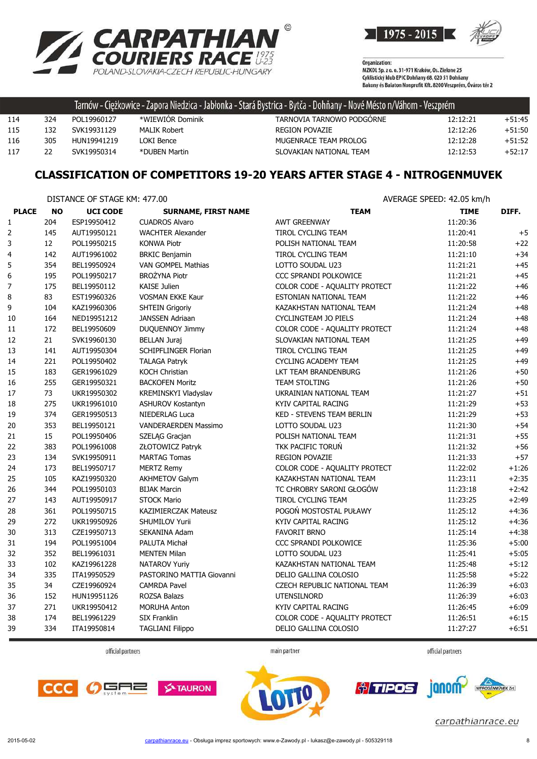



|     |     |             |                  | Tarnów - Ciężkowice - Zapora Niedzica - Jabłonka - Stará Bystrica - Bytča - Dohňany - Nové Mésto n/Váhom - Veszprém |          |          |
|-----|-----|-------------|------------------|---------------------------------------------------------------------------------------------------------------------|----------|----------|
| 114 | 324 | POL19960127 | *WIEWIOR Dominik | TARNOVIA TARNOWO PODGORNE                                                                                           | 12:12:21 | $+51:45$ |
| 115 | 132 | SVK19931129 | MALIK Robert     | <b>REGION POVAZIE</b>                                                                                               | 12:12:26 | $+51:50$ |
| 116 | 305 | HUN19941219 | LOKI Bence       | MUGENRACE TEAM PROLOG                                                                                               | 12:12:28 | $+51:52$ |
| 117 | 22  | SVK19950314 | *DUBEN Martin    | SLOVAKIAN NATIONAL TEAM                                                                                             | 12:12:53 | $+52:17$ |

#### **CLASSIFICATION OF COMPETITORS 19-20 YEARS AFTER STAGE 4 - NITROGENMUVEK**

DISTANCE OF STAGE KM: 477.00 AVERAGE SPEED: 42.05 km/h

|                  |     | <b>ULSTAINLE OF STAUL N'IL TITIOU</b> |                             |                                  | AVLNAUL JELLU. TZ.UJ NIIIII |         |
|------------------|-----|---------------------------------------|-----------------------------|----------------------------------|-----------------------------|---------|
| <b>PLACE</b>     | NO  | <b>UCI CODE</b>                       | <b>SURNAME, FIRST NAME</b>  | <b>TEAM</b>                      | <b>TIME</b>                 | DIFF.   |
| $\mathbf{1}$     | 204 | ESP19950412                           | <b>CUADROS Alvaro</b>       | <b>AWT GREENWAY</b>              | 11:20:36                    |         |
| 2                | 145 | AUT19950121                           | <b>WACHTER Alexander</b>    | TIROL CYCLING TEAM               | 11:20:41                    | $+5$    |
| 3                | 12  | POL19950215                           | <b>KONWA Piotr</b>          | POLISH NATIONAL TEAM             | 11:20:58                    | $+22$   |
| $\overline{4}$   | 142 | AUT19961002                           | <b>BRKIC Benjamin</b>       | TIROL CYCLING TEAM               | 11:21:10                    | $+34$   |
| 5                | 354 | BEL19950924                           | VAN GOMPEL Mathias          | LOTTO SOUDAL U23                 | 11:21:21                    | $+45$   |
| $\boldsymbol{6}$ | 195 | POL19950217                           | <b>BROŻYNA Piotr</b>        | CCC SPRANDI POLKOWICE            | 11:21:21                    | $+45$   |
| $\boldsymbol{7}$ | 175 | BEL19950112                           | <b>KAISE Julien</b>         | COLOR CODE - AQUALITY PROTECT    | 11:21:22                    | $+46$   |
| 8                | 83  | EST19960326                           | <b>VOSMAN EKKE Kaur</b>     | ESTONIAN NATIONAL TEAM           | 11:21:22                    | $+46$   |
| 9                | 104 | KAZ19960306                           | <b>SHTEIN Grigoriy</b>      | KAZAKHSTAN NATIONAL TEAM         | 11:21:24                    | $+48$   |
| 10               | 164 | NED19951212                           | <b>JANSSEN Adriaan</b>      | <b>CYCLINGTEAM JO PIELS</b>      | 11:21:24                    | $+48$   |
| 11               | 172 | BEL19950609                           | DUQUENNOY Jimmy             | COLOR CODE - AQUALITY PROTECT    | 11:21:24                    | $+48$   |
| 12               | 21  | SVK19960130                           | <b>BELLAN Juraj</b>         | SLOVAKIAN NATIONAL TEAM          | 11:21:25                    | $+49$   |
| 13               | 141 | AUT19950304                           | <b>SCHIPFLINGER Florian</b> | TIROL CYCLING TEAM               | 11:21:25                    | $+49$   |
| 14               | 221 | POL19950402                           | <b>TALAGA Patryk</b>        | CYCLING ACADEMY TEAM             | 11:21:25                    | $+49$   |
| 15               | 183 | GER19961029                           | <b>KOCH Christian</b>       | LKT TEAM BRANDENBURG             | 11:21:26                    | $+50$   |
| 16               | 255 | GER19950321                           | <b>BACKOFEN Moritz</b>      | <b>TEAM STOLTING</b>             | 11:21:26                    | $+50$   |
| $17\,$           | 73  | UKR19950302                           | KREMINSKYI Vladyslav        | UKRAINIAN NATIONAL TEAM          | 11:21:27                    | $+51$   |
| 18               | 275 | UKR19961010                           | <b>ASHUROV Kostantyn</b>    | KYIV CAPITAL RACING              | 11:21:29                    | $+53$   |
| 19               | 374 | GER19950513                           | <b>NIEDERLAG Luca</b>       | <b>KED - STEVENS TEAM BERLIN</b> | 11:21:29                    | $+53$   |
| 20               | 353 | BEL19950121                           | <b>VANDERAERDEN Massimo</b> | LOTTO SOUDAL U23                 | 11:21:30                    | $+54$   |
| 21               | 15  | POL19950406                           | SZELĄG Gracjan              | POLISH NATIONAL TEAM             | 11:21:31                    | $+55$   |
| 22               | 383 | POL19961008                           | ZŁOTOWICZ Patryk            | TKK PACIFIC TORUŃ                | 11:21:32                    | $+56$   |
| 23               | 134 | SVK19950911                           | <b>MARTAG Tomas</b>         | <b>REGION POVAZIE</b>            | 11:21:33                    | $+57$   |
| 24               | 173 | BEL19950717                           | <b>MERTZ Remy</b>           | COLOR CODE - AQUALITY PROTECT    | 11:22:02                    | $+1:26$ |
| 25               | 105 | KAZ19950320                           | <b>AKHMETOV Galym</b>       | KAZAKHSTAN NATIONAL TEAM         | 11:23:11                    | $+2:35$ |
| 26               | 344 | POL19950103                           | <b>BIJAK Marcin</b>         | TC CHROBRY SARONI GŁOGÓW         | 11:23:18                    | $+2:42$ |
| 27               | 143 | AUT19950917                           | <b>STOCK Mario</b>          | TIROL CYCLING TEAM               | 11:23:25                    | $+2:49$ |
| 28               | 361 | POL19950715                           | KAZIMIERCZAK Mateusz        | POGOŃ MOSTOSTAL PUŁAWY           | 11:25:12                    | $+4:36$ |
| 29               | 272 | UKR19950926                           | SHUMILOV Yurii              | KYIV CAPITAL RACING              | 11:25:12                    | $+4:36$ |
| 30               | 313 | CZE19950713                           | SEKANINA Adam               | <b>FAVORIT BRNO</b>              | 11:25:14                    | $+4:38$ |
| 31               | 194 | POL19951004                           | PALUTA Michał               | CCC SPRANDI POLKOWICE            | 11:25:36                    | $+5:00$ |
| 32               | 352 | BEL19961031                           | <b>MENTEN Milan</b>         | LOTTO SOUDAL U23                 | 11:25:41                    | $+5:05$ |
| 33               | 102 | KAZ19961228                           | NATAROV Yuriy               | KAZAKHSTAN NATIONAL TEAM         | 11:25:48                    | $+5:12$ |
| 34               | 335 | ITA19950529                           | PASTORINO MATTIA Giovanni   | DELIO GALLINA COLOSIO            | 11:25:58                    | $+5:22$ |
| 35               | 34  | CZE19960924                           | <b>CAMRDA Pavel</b>         | CZECH REPUBLIC NATIONAL TEAM     | 11:26:39                    | $+6:03$ |
| 36               | 152 | HUN19951126                           | ROZSA Balazs                | <b>UTENSILNORD</b>               | 11:26:39                    | $+6:03$ |
| 37               | 271 | UKR19950412                           | MORUHA Anton                | KYIV CAPITAL RACING              | 11:26:45                    | $+6:09$ |
| 38               | 174 | BEL19961229                           | <b>SIX Franklin</b>         | COLOR CODE - AQUALITY PROTECT    | 11:26:51                    | $+6:15$ |
| 39               | 334 | ITA19950814                           | <b>TAGLIANI Filippo</b>     | DELIO GALLINA COLOSIO            | 11:27:27                    | $+6:51$ |
|                  |     |                                       |                             |                                  |                             |         |

official partners

main partner

official partners







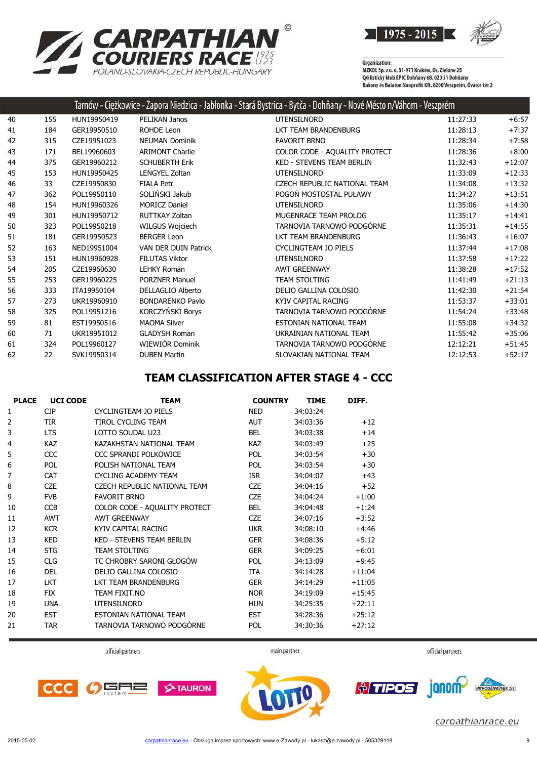

**RPATHIAN<sup>®</sup><br>RIERS RACE <sup>1975</sup><br>OVAKIA-CZECH REPUBLIC-HUNGARY CA** POLAND-SL OVAKIA-CZECH REPUBLIC-HUNGARY

Organization:<br>MZKOL Sp. z o. o. 31-971 Kraków, Os. Zielone 25 Cyklistický klub EPIC Dohňany 68, 020 51 Dohňany<br>Cyklistický klub EPIC Dohňany 68, 020 51 Dohňany<br>Bakony és Balaton Nonprofit Kft. 8200 Veszprém, Óváros tér 2

|    |     |             |                             | Tarnów - Ciężkowice - Zapora Niedzica - Jabłonka - Stará Bystrica - Bytča - Dohňany - Nové Mésto n/Váhom - Veszprém |          |          |
|----|-----|-------------|-----------------------------|---------------------------------------------------------------------------------------------------------------------|----------|----------|
| 40 | 155 | HUN19950419 | PELIKAN Janos               | <b>UTENSILNORD</b>                                                                                                  | 11:27:33 | $+6:57$  |
| 41 | 184 | GER19950510 | <b>ROHDE Leon</b>           | LKT TEAM BRANDENBURG                                                                                                | 11:28:13 | $+7:37$  |
| 42 | 315 | CZE19951023 | <b>NEUMAN Dominik</b>       | <b>FAVORIT BRNO</b>                                                                                                 | 11:28:34 | $+7:58$  |
| 43 | 171 | BEL19960603 | <b>ARIMONT Charlie</b>      | COLOR CODE - AQUALITY PROTECT                                                                                       | 11:28:36 | $+8:00$  |
| 44 | 375 | GER19960212 | <b>SCHUBERTH Erik</b>       | <b>KED - STEVENS TEAM BERLIN</b>                                                                                    | 11:32:43 | $+12:07$ |
| 45 | 153 | HUN19950425 | <b>LENGYEL Zoltan</b>       | <b>UTENSILNORD</b>                                                                                                  | 11:33:09 | $+12:33$ |
| 46 | 33  | CZE19950830 | <b>FIALA Petr</b>           | CZECH REPUBLIC NATIONAL TEAM                                                                                        | 11:34:08 | $+13:32$ |
| 47 | 362 | POL19950110 | SOLIŃSKI Jakub              | POGOŃ MOSTOSTAL PUŁAWY                                                                                              | 11:34:27 | $+13:51$ |
| 48 | 154 | HUN19960326 | <b>MORICZ Daniel</b>        | <b>UTENSILNORD</b>                                                                                                  | 11:35:06 | $+14:30$ |
| 49 | 301 | HUN19950712 | RUTTKAY Zoltan              | MUGENRACE TEAM PROLOG                                                                                               | 11:35:17 | $+14:41$ |
| 50 | 323 | POL19950218 | WILGUS Wojciech             | TARNOVIA TARNOWO PODGÓRNE                                                                                           | 11:35:31 | $+14:55$ |
| 51 | 181 | GER19950523 | <b>BERGER Leon</b>          | LKT TEAM BRANDENBURG                                                                                                | 11:36:43 | $+16:07$ |
| 52 | 163 | NED19951004 | <b>VAN DER DUIN Patrick</b> | <b>CYCLINGTEAM JO PIELS</b>                                                                                         | 11:37:44 | $+17:08$ |
| 53 | 151 | HUN19960928 | <b>FILUTAS Viktor</b>       | <b>UTENSILNORD</b>                                                                                                  | 11:37:58 | $+17:22$ |
| 54 | 205 | CZE19960630 | <b>LEHKY Roman</b>          | <b>AWT GREENWAY</b>                                                                                                 | 11:38:28 | $+17:52$ |
| 55 | 253 | GER19960225 | <b>PORZNER Manuel</b>       | <b>TEAM STOLTING</b>                                                                                                | 11:41:49 | $+21:13$ |
| 56 | 333 | ITA19950104 | <b>DELLAGLIO Alberto</b>    | DELIO GALLINA COLOSIO                                                                                               | 11:42:30 | $+21:54$ |
| 57 | 273 | UKR19960910 | <b>BONDARENKO Pavlo</b>     | KYIV CAPITAL RACING                                                                                                 | 11:53:37 | $+33:01$ |
| 58 | 325 | POL19951216 | KORCZYŃSKI Borys            | TARNOVIA TARNOWO PODGÓRNE                                                                                           | 11:54:24 | $+33:48$ |
| 59 | 81  | EST19950516 | <b>MAOMA Silver</b>         | ESTONIAN NATIONAL TEAM                                                                                              | 11:55:08 | $+34:32$ |
| 60 | 71  | UKR19951012 | <b>GLADYSH Roman</b>        | UKRAINIAN NATIONAL TEAM                                                                                             | 11:55:42 | $+35:06$ |
| 61 | 324 | POL19960127 | WIEWIÓR Dominik             | TARNOVIA TARNOWO PODGÓRNE                                                                                           | 12:12:21 | $+51:45$ |
| 62 | 22  | SVK19950314 | <b>DUBEN Martin</b>         | SLOVAKIAN NATIONAL TEAM                                                                                             | 12:12:53 | $+52:17$ |

#### **TEAM CLASSIFICATION AFTER STAGE 4 - CCC**

| <b>PLACE</b> | <b>UCI CODE</b> | <b>TEAM</b>                         | <b>COUNTRY</b> | <b>TIME</b> | DIFF.    |
|--------------|-----------------|-------------------------------------|----------------|-------------|----------|
| 1            | <b>CJP</b>      | CYCLINGTEAM JO PIELS                | <b>NED</b>     | 34:03:24    |          |
| 2            | <b>TIR</b>      | TIROL CYCLING TEAM                  | <b>AUT</b>     | 34:03:36    | $+12$    |
| 3            | <b>LTS</b>      | LOTTO SOUDAL U23                    | <b>BEL</b>     | 34:03:38    | $+14$    |
| 4            | <b>KAZ</b>      | KAZAKHSTAN NATIONAL TEAM            | <b>KAZ</b>     | 34:03:49    | $+25$    |
| 5            | CCC             | CCC SPRANDI POLKOWICE               | <b>POL</b>     | 34:03:54    | $+30$    |
| 6            | <b>POL</b>      | POLISH NATIONAL TEAM                | POL            | 34:03:54    | $+30$    |
| 7            | <b>CAT</b>      | <b>CYCLING ACADEMY TEAM</b>         | <b>ISR</b>     | 34:04:07    | $+43$    |
| 8            | <b>CZE</b>      | <b>CZECH REPUBLIC NATIONAL TEAM</b> | <b>CZE</b>     | 34:04:16    | $+52$    |
| 9            | <b>FVB</b>      | <b>FAVORIT BRNO</b>                 | <b>CZE</b>     | 34:04:24    | $+1:00$  |
| 10           | <b>CCB</b>      | COLOR CODE - AQUALITY PROTECT       | <b>BEL</b>     | 34:04:48    | $+1:24$  |
| 11           | <b>AWT</b>      | <b>AWT GREENWAY</b>                 | <b>CZE</b>     | 34:07:16    | $+3:52$  |
| 12           | <b>KCR</b>      | KYIV CAPITAL RACING                 | <b>UKR</b>     | 34:08:10    | $+4:46$  |
| 13           | <b>KED</b>      | <b>KED - STEVENS TEAM BERLIN</b>    | <b>GER</b>     | 34:08:36    | $+5:12$  |
| 14           | <b>STG</b>      | <b>TEAM STOLTING</b>                | <b>GER</b>     | 34:09:25    | $+6:01$  |
| 15           | <b>CLG</b>      | TC CHROBRY SARONI GŁOGÓW            | <b>POL</b>     | 34:13:09    | $+9:45$  |
| 16           | <b>DEL</b>      | DELIO GALLINA COLOSIO               | <b>ITA</b>     | 34:14:28    | $+11:04$ |
| 17           | <b>LKT</b>      | LKT TEAM BRANDENBURG                | <b>GER</b>     | 34:14:29    | $+11:05$ |
| 18           | <b>FIX</b>      | TEAM FIXIT.NO                       | <b>NOR</b>     | 34:19:09    | $+15:45$ |
| 19           | <b>UNA</b>      | <b>UTENSILNORD</b>                  | <b>HUN</b>     | 34:25:35    | $+22:11$ |
| 20           | <b>EST</b>      | ESTONIAN NATIONAL TEAM              | <b>EST</b>     | 34:28:36    | $+25:12$ |
| 21           | <b>TAR</b>      | TARNOVIA TARNOWO PODGÓRNE           | <b>POL</b>     | 34:30:36    | $+27:12$ |



official partners



official partners



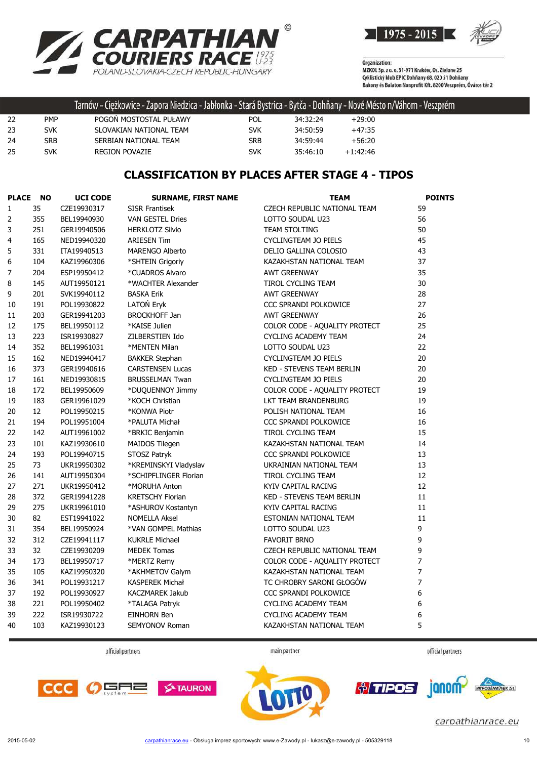



|    |            | Tarnów - Ciężkowice - Zapora Niedzica - Jabłonka - Stará Bystrica - Bytča - Dohňany - Nové Mésto n/Váhom - Veszprém |            |          |            |  |
|----|------------|---------------------------------------------------------------------------------------------------------------------|------------|----------|------------|--|
| 22 | <b>PMP</b> | POGON MOSTOSTAL PUŁAWY                                                                                              | POL        | 34:32:24 | $+29:00$   |  |
| 23 | <b>SVK</b> | SLOVAKIAN NATIONAL TEAM                                                                                             | <b>SVK</b> | 34:50:59 | $+47:35$   |  |
| 24 | SRB        | SERBIAN NATIONAL TEAM                                                                                               | SRB        | 34:59:44 | +56:20     |  |
| 25 | SVK        | <b>REGION POVAZIE</b>                                                                                               | SVK        | 35:46:10 | $+1:42:46$ |  |

#### **CLASSIFICATION BY PLACES AFTER STAGE 4 - TIPOS**

| <b>PLACE</b>     | NO  | <b>UCI CODE</b> | <b>SURNAME, FIRST NAME</b> | <b>TEAM</b>                      | <b>POINTS</b> |
|------------------|-----|-----------------|----------------------------|----------------------------------|---------------|
| $\mathbf{1}$     | 35  | CZE19930317     | <b>SISR Frantisek</b>      | CZECH REPUBLIC NATIONAL TEAM     | 59            |
| $\overline{2}$   | 355 | BEL19940930     | <b>VAN GESTEL Dries</b>    | LOTTO SOUDAL U23                 | 56            |
| 3                | 251 | GER19940506     | <b>HERKLOTZ Silvio</b>     | <b>TEAM STOLTING</b>             | 50            |
| 4                | 165 | NED19940320     | <b>ARIESEN Tim</b>         | CYCLINGTEAM JO PIELS             | 45            |
| 5                | 331 | ITA19940513     | <b>MARENGO Alberto</b>     | DELIO GALLINA COLOSIO            | 43            |
| 6                | 104 | KAZ19960306     | *SHTEIN Grigoriy           | KAZAKHSTAN NATIONAL TEAM         | 37            |
| $\boldsymbol{7}$ | 204 | ESP19950412     | *CUADROS Alvaro            | <b>AWT GREENWAY</b>              | 35            |
| 8                | 145 | AUT19950121     | *WACHTER Alexander         | TIROL CYCLING TEAM               | 30            |
| 9                | 201 | SVK19940112     | <b>BASKA Erik</b>          | <b>AWT GREENWAY</b>              | 28            |
| 10               | 191 | POL19930822     | LATOŃ Eryk                 | CCC SPRANDI POLKOWICE            | 27            |
| 11               | 203 | GER19941203     | <b>BROCKHOFF Jan</b>       | <b>AWT GREENWAY</b>              | 26            |
| 12               | 175 | BEL19950112     | *KAISE Julien              | COLOR CODE - AQUALITY PROTECT    | 25            |
| 13               | 223 | ISR19930827     | ZILBERSTIEN Ido            | <b>CYCLING ACADEMY TEAM</b>      | 24            |
| 14               | 352 | BEL19961031     | *MENTEN Milan              | LOTTO SOUDAL U23                 | 22            |
| 15               | 162 | NED19940417     | <b>BAKKER Stephan</b>      | CYCLINGTEAM JO PIELS             | 20            |
| 16               | 373 | GER19940616     | <b>CARSTENSEN Lucas</b>    | <b>KED - STEVENS TEAM BERLIN</b> | 20            |
| 17               | 161 | NED19930815     | <b>BRUSSELMAN Twan</b>     | CYCLINGTEAM JO PIELS             | 20            |
| 18               | 172 | BEL19950609     | *DUQUENNOY Jimmy           | COLOR CODE - AQUALITY PROTECT    | 19            |
| 19               | 183 | GER19961029     | *KOCH Christian            | LKT TEAM BRANDENBURG             | 19            |
| 20               | 12  | POL19950215     | *KONWA Piotr               | POLISH NATIONAL TEAM             | 16            |
| 21               | 194 | POL19951004     | *PALUTA Michał             | CCC SPRANDI POLKOWICE            | 16            |
| 22               | 142 | AUT19961002     | *BRKIC Benjamin            | TIROL CYCLING TEAM               | 15            |
| 23               | 101 | KAZ19930610     | MAIDOS Tilegen             | KAZAKHSTAN NATIONAL TEAM         | 14            |
| 24               | 193 | POL19940715     | STOSZ Patryk               | CCC SPRANDI POLKOWICE            | 13            |
| 25               | 73  | UKR19950302     | *KREMINSKYI Vladyslav      | UKRAINIAN NATIONAL TEAM          | 13            |
| 26               | 141 | AUT19950304     | *SCHIPFLINGER Florian      | TIROL CYCLING TEAM               | 12            |
| 27               | 271 | UKR19950412     | *MORUHA Anton              | KYIV CAPITAL RACING              | 12            |
| 28               | 372 | GER19941228     | <b>KRETSCHY Florian</b>    | <b>KED - STEVENS TEAM BERLIN</b> | 11            |
| 29               | 275 | UKR19961010     | *ASHUROV Kostantyn         | KYIV CAPITAL RACING              | 11            |
| 30               | 82  | EST19941022     | <b>NOMELLA Aksel</b>       | ESTONIAN NATIONAL TEAM           | 11            |
| 31               | 354 | BEL19950924     | *VAN GOMPEL Mathias        | LOTTO SOUDAL U23                 | 9             |
| 32               | 312 | CZE19941117     | <b>KUKRLE Michael</b>      | <b>FAVORIT BRNO</b>              | 9             |
| 33               | 32  | CZE19930209     | <b>MEDEK Tomas</b>         | CZECH REPUBLIC NATIONAL TEAM     | 9             |
| 34               | 173 | BEL19950717     | *MERTZ Remy                | COLOR CODE - AQUALITY PROTECT    | 7             |
| 35               | 105 | KAZ19950320     | *AKHMETOV Galym            | KAZAKHSTAN NATIONAL TEAM         | 7             |
| 36               | 341 | POL19931217     | <b>KASPEREK Michał</b>     | TC CHROBRY SARONI GŁOGÓW         | 7             |
| 37               | 192 | POL19930927     | KACZMAREK Jakub            | CCC SPRANDI POLKOWICE            | 6             |
| 38               | 221 | POL19950402     | *TALAGA Patryk             | CYCLING ACADEMY TEAM             | 6             |
| 39               | 222 | ISR19930722     | EINHORN Ben                | <b>CYCLING ACADEMY TEAM</b>      | 6             |
| 40               | 103 | KAZ19930123     | SEMYONOV Roman             | KAZAKHSTAN NATIONAL TEAM         | 5             |

official partners

main partner

official partners





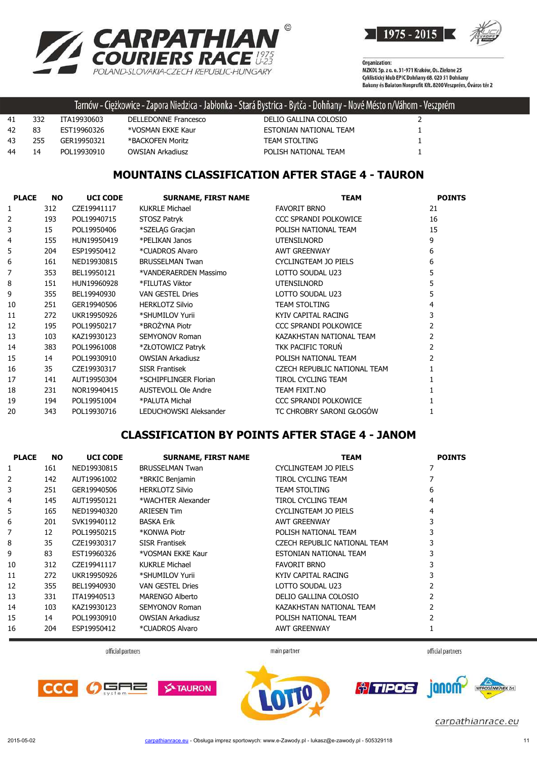

**RPATHIAN<sup>®</sup><br>RIERS RACE <sup>1975</sup><br>OVAKIA-CZECH REPUBLICHUNGARY**  $\blacktriangle$  $PQI$ 

Organization:<br>MZKOL Sp. z o. o. 31-971 Kraków, Os. Zielone 25 Cyklistický klub EPIC Dohňany 68, 020 51 Dohňany Bakony és Balaton Nonprofit Kft. 8200 Veszprém, Óváros tér 2

|    |     |             |                         | : Tarnów - Ciężkowice - Zapora Niedzica - Jabłonka - Stará Bystrica - Bytča - Dohňany - Nové Mésto n/Váhom - Veszprém |  |
|----|-----|-------------|-------------------------|-----------------------------------------------------------------------------------------------------------------------|--|
| 41 | 332 | ITA19930603 | DELLEDONNE Francesco    | DELIO GALLINA COLOSIO                                                                                                 |  |
| 42 | 83  | FST19960326 | *VOSMAN EKKE Kaur       | ESTONIAN NATIONAL TEAM                                                                                                |  |
| 43 | 255 | GER19950321 | *BACKOFEN Moritz        | <b>TEAM STOLTING</b>                                                                                                  |  |
| 44 | 14  | POL19930910 | <b>OWSIAN Arkadiusz</b> | POLISH NATIONAL TEAM                                                                                                  |  |

#### **MOUNTAINS CLASSIFICATION AFTER STAGE 4 - TAURON**

| <b>PLACE</b>   | <b>NO</b> | <b>UCI CODE</b> | <b>SURNAME, FIRST NAME</b> | <b>TEAM</b>                  | <b>POINTS</b>            |
|----------------|-----------|-----------------|----------------------------|------------------------------|--------------------------|
| 1              | 312       | CZE19941117     | <b>KUKRLE Michael</b>      | <b>FAVORIT BRNO</b>          | 21                       |
| $\overline{2}$ | 193       | POL19940715     | STOSZ Patryk               | CCC SPRANDI POLKOWICE        | 16                       |
| 3              | 15        | POL19950406     | *SZELAG Gracian            | POLISH NATIONAL TEAM         | 15                       |
| 4              | 155       | HUN19950419     | *PELIKAN Janos             | <b>UTENSILNORD</b>           | 9                        |
| 5              | 204       | ESP19950412     | *CUADROS Alvaro            | <b>AWT GREENWAY</b>          | 6                        |
| 6              | 161       | NED19930815     | <b>BRUSSELMAN Twan</b>     | CYCLINGTEAM JO PIELS         | 6                        |
| 7              | 353       | BEL19950121     | *VANDERAERDEN Massimo      | LOTTO SOUDAL U23             | 5                        |
| 8              | 151       | HUN19960928     | *FILUTAS Viktor            | <b>UTENSILNORD</b>           | 5                        |
| 9              | 355       | BEL19940930     | <b>VAN GESTEL Dries</b>    | LOTTO SOUDAL U23             | 5                        |
| 10             | 251       | GER19940506     | <b>HERKLOTZ Silvio</b>     | <b>TEAM STOLTING</b>         | 4                        |
| 11             | 272       | UKR19950926     | *SHUMILOV Yurii            | KYIV CAPITAL RACING          | 3                        |
| 12             | 195       | POL19950217     | *BROŻYNA Piotr             | CCC SPRANDI POLKOWICE        | 2                        |
| 13             | 103       | KAZ19930123     | <b>SEMYONOV Roman</b>      | KAZAKHSTAN NATIONAL TEAM     | 2                        |
| 14             | 383       | POL19961008     | *ZŁOTOWICZ Patryk          | TKK PACIFIC TORUN            | $\overline{2}$           |
| 15             | 14        | POL19930910     | <b>OWSIAN Arkadiusz</b>    | POLISH NATIONAL TEAM         | $\overline{\phantom{a}}$ |
| 16             | 35        | CZE19930317     | <b>SISR Frantisek</b>      | CZECH REPUBLIC NATIONAL TEAM |                          |
| 17             | 141       | AUT19950304     | *SCHIPFLINGER Florian      | <b>TIROL CYCLING TEAM</b>    |                          |
| 18             | 231       | NOR19940415     | <b>AUSTEVOLL Ole Andre</b> | TEAM FIXIT.NO                |                          |
| 19             | 194       | POL19951004     | *PALUTA Michał             | CCC SPRANDI POLKOWICE        |                          |
| 20             | 343       | POL19930716     | LEDUCHOWSKI Aleksander     | TC CHROBRY SARONI GŁOGÓW     |                          |

## **CLASSIFICATION BY POINTS AFTER STAGE 4 - JANOM**

| <b>PLACE</b> | <b>NO</b> | <b>UCI CODE</b> | <b>SURNAME, FIRST NAME</b> | <b>TEAM</b>                  | <b>POINTS</b> |
|--------------|-----------|-----------------|----------------------------|------------------------------|---------------|
|              | 161       | NED19930815     | <b>BRUSSELMAN Twan</b>     | CYCLINGTEAM JO PIELS         | 7             |
| 2            | 142       | AUT19961002     | *BRKIC Benjamin            | TIROL CYCLING TEAM           |               |
| 3            | 251       | GER19940506     | <b>HERKLOTZ Silvio</b>     | <b>TEAM STOLTING</b>         | 6             |
| 4            | 145       | AUT19950121     | *WACHTER Alexander         | TIROL CYCLING TEAM           | 4             |
| 5            | 165       | NED19940320     | <b>ARIESEN Tim</b>         | CYCLINGTEAM JO PIELS         | 4             |
| 6            | 201       | SVK19940112     | <b>BASKA Erik</b>          | <b>AWT GREENWAY</b>          |               |
| 7            | 12        | POL19950215     | *KONWA Piotr               | POLISH NATIONAL TEAM         | 3             |
| 8            | 35        | CZE19930317     | <b>SISR Frantisek</b>      | CZECH REPUBLIC NATIONAL TEAM | 3             |
| 9            | 83        | EST19960326     | *VOSMAN EKKE Kaur          | ESTONIAN NATIONAL TEAM       | 3             |
| 10           | 312       | CZE19941117     | <b>KUKRLE Michael</b>      | <b>FAVORIT BRNO</b>          |               |
| 11           | 272       | UKR19950926     | *SHUMILOV Yurii            | KYIV CAPITAL RACING          |               |
| 12           | 355       | BEL19940930     | <b>VAN GESTEL Dries</b>    | LOTTO SOUDAL U23             |               |
| 13           | 331       | ITA19940513     | <b>MARENGO Alberto</b>     | DELIO GALLINA COLOSIO        |               |
| 14           | 103       | KAZ19930123     | <b>SEMYONOV Roman</b>      | KAZAKHSTAN NATIONAL TEAM     | 2             |
| 15           | 14        | POL19930910     | <b>OWSIAN Arkadiusz</b>    | POLISH NATIONAL TEAM         |               |
| 16           | 204       | ESP19950412     | *CUADROS Alvaro            | <b>AWT GREENWAY</b>          |               |

official partners

main partner

official partners

janom

carpathianrace.eu

*† TIPOS* 



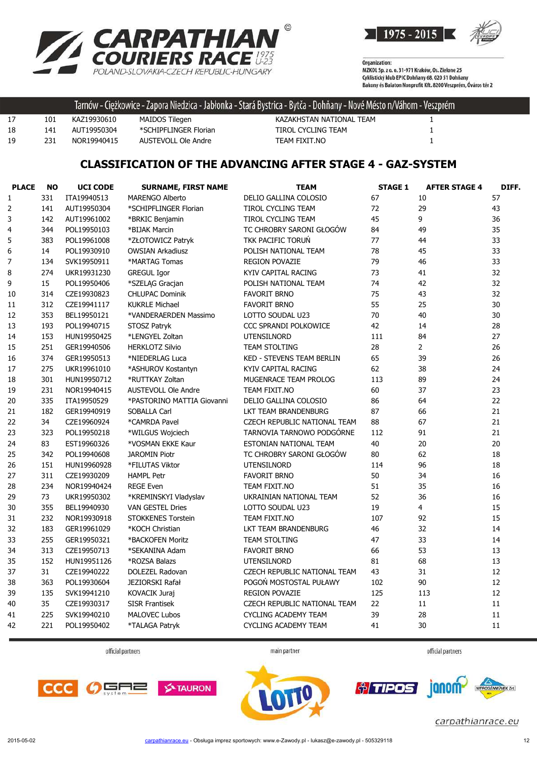



Organization:<br>MZKOL Sp. z o. o. 31-971 Kraków, Os. Zielone 25 Cyklistický klub EPIC Dohňany 68, 020 51 Dohňany<br>Cyklistický klub EPIC Dohňany 68, 020 51 Dohňany<br>Bakony és Balaton Nonprofit Kft. 8200 Veszprém, Óváros tér 2

|    |     |             |                       | ' Tarnów - Ciężkowice - Zapora Niedzica - Jabłonka - Stará Bystrica - Bytča - Dohňany - Nové Mésto n/Váhom - Veszprém |  |
|----|-----|-------------|-----------------------|-----------------------------------------------------------------------------------------------------------------------|--|
| 17 | 101 | KAZ19930610 | MAIDOS Tilegen        | KAZAKHSTAN NATIONAL TEAM                                                                                              |  |
| 18 | 141 | AUT19950304 | *SCHIPFLINGER Florian | TIROL CYCLING TEAM                                                                                                    |  |
| 19 | 231 | NOR19940415 | AUSTEVOLL Ole Andre   | TEAM FIXIT.NO                                                                                                         |  |

## **CLASSIFICATION OF THE ADVANCING AFTER STAGE 4 - GAZ-SYSTEM**

| <b>PLACE</b> | <b>NO</b> | <b>UCI CODE</b> | <b>SURNAME, FIRST NAME</b> | <b>TEAM</b>                      | <b>STAGE 1</b> | <b>AFTER STAGE 4</b> | DIFF. |
|--------------|-----------|-----------------|----------------------------|----------------------------------|----------------|----------------------|-------|
| 1            | 331       | ITA19940513     | <b>MARENGO Alberto</b>     | DELIO GALLINA COLOSIO            | 67             | 10                   | 57    |
| 2            | 141       | AUT19950304     | *SCHIPFLINGER Florian      | TIROL CYCLING TEAM               | 72             | 29                   | 43    |
| 3            | 142       | AUT19961002     | *BRKIC Benjamin            | TIROL CYCLING TEAM               | 45             | 9                    | 36    |
| 4            | 344       | POL19950103     | *BIJAK Marcin              | TC CHROBRY SARONI GŁOGÓW         | 84             | 49                   | 35    |
| 5            | 383       | POL19961008     | *ZŁOTOWICZ Patryk          | TKK PACIFIC TORUŃ                | 77             | 44                   | 33    |
| 6            | 14        | POL19930910     | <b>OWSIAN Arkadiusz</b>    | POLISH NATIONAL TEAM             | 78             | 45                   | 33    |
| 7            | 134       | SVK19950911     | *MARTAG Tomas              | <b>REGION POVAZIE</b>            | 79             | 46                   | 33    |
| 8            | 274       | UKR19931230     | <b>GREGUL Igor</b>         | KYIV CAPITAL RACING              | 73             | 41                   | 32    |
| 9            | 15        | POL19950406     | *SZELĄG Gracjan            | POLISH NATIONAL TEAM             | 74             | 42                   | 32    |
| 10           | 314       | CZE19930823     | <b>CHLUPAC Dominik</b>     | <b>FAVORIT BRNO</b>              | 75             | 43                   | 32    |
| 11           | 312       | CZE19941117     | <b>KUKRLE Michael</b>      | <b>FAVORIT BRNO</b>              | 55             | 25                   | 30    |
| 12           | 353       | BEL19950121     | *VANDERAERDEN Massimo      | LOTTO SOUDAL U23                 | 70             | 40                   | 30    |
| 13           | 193       | POL19940715     | STOSZ Patryk               | CCC SPRANDI POLKOWICE            | 42             | 14                   | 28    |
| 14           | 153       | HUN19950425     | *LENGYEL Zoltan            | <b>UTENSILNORD</b>               | 111            | 84                   | 27    |
| 15           | 251       | GER19940506     | <b>HERKLOTZ Silvio</b>     | TEAM STOLTING                    | 28             | $\overline{2}$       | 26    |
| 16           | 374       | GER19950513     | *NIEDERLAG Luca            | <b>KED - STEVENS TEAM BERLIN</b> | 65             | 39                   | 26    |
| 17           | 275       | UKR19961010     | *ASHUROV Kostantyn         | KYIV CAPITAL RACING              | 62             | 38                   | 24    |
| 18           | 301       | HUN19950712     | *RUTTKAY Zoltan            | MUGENRACE TEAM PROLOG            | 113            | 89                   | 24    |
| 19           | 231       | NOR19940415     | <b>AUSTEVOLL Ole Andre</b> | TEAM FIXIT.NO                    | 60             | 37                   | 23    |
| 20           | 335       | ITA19950529     | *PASTORINO MATTIA Giovanni | DELIO GALLINA COLOSIO            | 86             | 64                   | 22    |
| 21           | 182       | GER19940919     | <b>SOBALLA Carl</b>        | LKT TEAM BRANDENBURG             | 87             | 66                   | 21    |
| 22           | 34        | CZE19960924     | *CAMRDA Pavel              | CZECH REPUBLIC NATIONAL TEAM     | 88             | 67                   | 21    |
| 23           | 323       | POL19950218     | *WILGUS Wojciech           | TARNOVIA TARNOWO PODGÓRNE        | 112            | 91                   | 21    |
| 24           | 83        | EST19960326     | *VOSMAN EKKE Kaur          | ESTONIAN NATIONAL TEAM           | 40             | 20                   | 20    |
| 25           | 342       | POL19940608     | <b>JAROMIN Piotr</b>       | TC CHROBRY SARONI GŁOGÓW         | 80             | 62                   | 18    |
| 26           | 151       | HUN19960928     | *FILUTAS Viktor            | <b>UTENSILNORD</b>               | 114            | 96                   | 18    |
| 27           | 311       | CZE19930209     | <b>HAMPL Petr</b>          | <b>FAVORIT BRNO</b>              | 50             | 34                   | 16    |
| 28           | 234       | NOR19940424     | <b>REGE Even</b>           | TEAM FIXIT.NO                    | 51             | 35                   | 16    |
| 29           | 73        | UKR19950302     | *KREMINSKYI Vladyslav      | UKRAINIAN NATIONAL TEAM          | 52             | 36                   | 16    |
| 30           | 355       | BEL19940930     | <b>VAN GESTEL Dries</b>    | LOTTO SOUDAL U23                 | 19             | $\overline{4}$       | 15    |
| 31           | 232       | NOR19930918     | <b>STOKKENES Torstein</b>  | TEAM FIXIT.NO                    | 107            | 92                   | 15    |
| 32           | 183       | GER19961029     | *KOCH Christian            | LKT TEAM BRANDENBURG             | 46             | 32                   | 14    |
| 33           | 255       | GER19950321     | *BACKOFEN Moritz           | <b>TEAM STOLTING</b>             | 47             | 33                   | 14    |
| 34           | 313       | CZE19950713     | *SEKANINA Adam             | <b>FAVORIT BRNO</b>              | 66             | 53                   | 13    |
| 35           | 152       | HUN19951126     | *ROZSA Balazs              | <b>UTENSILNORD</b>               | 81             | 68                   | 13    |
| 37           | 31        | CZE19940222     | DOLEZEL Radovan            | CZECH REPUBLIC NATIONAL TEAM     | 43             | 31                   | 12    |
| 38           | 363       | POL19930604     | JEZIORSKI Rafał            | POGOŃ MOSTOSTAL PUŁAWY           | 102            | 90                   | 12    |
| 39           | 135       | SVK19941210     | KOVACIK Juraj              | REGION POVAZIE                   | 125            | 113                  | 12    |
| 40           | 35        | CZE19930317     | <b>SISR Frantisek</b>      | CZECH REPUBLIC NATIONAL TEAM     | 22             | 11                   | 11    |
| 41           | 225       | SVK19940210     | <b>MALOVEC Lubos</b>       | <b>CYCLING ACADEMY TEAM</b>      | 39             | 28                   | 11    |
| 42           | 221       | POL19950402     | *TALAGA Patryk             | CYCLING ACADEMY TEAM             | 41             | 30                   | 11    |
|              |           |                 |                            |                                  |                |                      |       |

official partners

main partner



janom

*<u>oliminal</u>* 



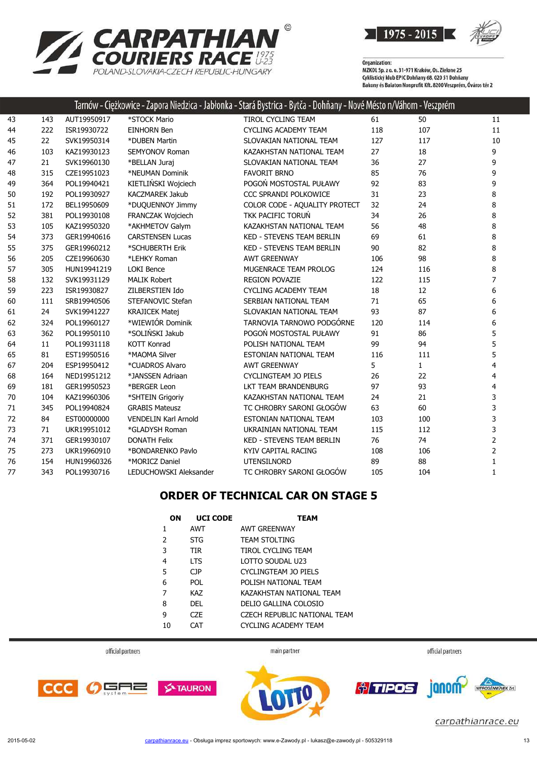



|    |     |             |                             | Tarnów - Ciężkowice - Zapora Niedzica - Jabłonka - Stará Bystrica - Bytča - Dohňany - Nové Mésto n/Váhom - Veszprém |     |              |                |
|----|-----|-------------|-----------------------------|---------------------------------------------------------------------------------------------------------------------|-----|--------------|----------------|
| 43 | 143 | AUT19950917 | *STOCK Mario                | TIROL CYCLING TEAM                                                                                                  | 61  | 50           | 11             |
| 44 | 222 | ISR19930722 | <b>EINHORN Ben</b>          | <b>CYCLING ACADEMY TEAM</b>                                                                                         | 118 | 107          | 11             |
| 45 | 22  | SVK19950314 | *DUBEN Martin               | SLOVAKIAN NATIONAL TEAM                                                                                             | 127 | 117          | 10             |
| 46 | 103 | KAZ19930123 | <b>SEMYONOV Roman</b>       | KAZAKHSTAN NATIONAL TEAM                                                                                            | 27  | 18           | 9              |
| 47 | 21  | SVK19960130 | *BELLAN Juraj               | SLOVAKIAN NATIONAL TEAM                                                                                             | 36  | 27           | 9              |
| 48 | 315 | CZE19951023 | *NEUMAN Dominik             | <b>FAVORIT BRNO</b>                                                                                                 | 85  | 76           | 9              |
| 49 | 364 | POL19940421 | KIETLIŃSKI Wojciech         | POGOŃ MOSTOSTAL PUŁAWY                                                                                              | 92  | 83           | 9              |
| 50 | 192 | POL19930927 | <b>KACZMAREK Jakub</b>      | CCC SPRANDI POLKOWICE                                                                                               | 31  | 23           | 8              |
| 51 | 172 | BEL19950609 | *DUQUENNOY Jimmy            | COLOR CODE - AQUALITY PROTECT                                                                                       | 32  | 24           | 8              |
| 52 | 381 | POL19930108 | FRANCZAK Wojciech           | TKK PACIFIC TORUŃ                                                                                                   | 34  | 26           | 8              |
| 53 | 105 | KAZ19950320 | *AKHMETOV Galym             | KAZAKHSTAN NATIONAL TEAM                                                                                            | 56  | 48           | 8              |
| 54 | 373 | GER19940616 | <b>CARSTENSEN Lucas</b>     | <b>KED - STEVENS TEAM BERLIN</b>                                                                                    | 69  | 61           | 8              |
| 55 | 375 | GER19960212 | *SCHUBERTH Erik             | <b>KED - STEVENS TEAM BERLIN</b>                                                                                    | 90  | 82           | 8              |
| 56 | 205 | CZE19960630 | *LEHKY Roman                | <b>AWT GREENWAY</b>                                                                                                 | 106 | 98           | 8              |
| 57 | 305 | HUN19941219 | <b>LOKI Bence</b>           | MUGENRACE TEAM PROLOG                                                                                               | 124 | 116          | 8              |
| 58 | 132 | SVK19931129 | <b>MALIK Robert</b>         | <b>REGION POVAZIE</b>                                                                                               | 122 | 115          | $\overline{7}$ |
| 59 | 223 | ISR19930827 | ZILBERSTIEN Ido             | <b>CYCLING ACADEMY TEAM</b>                                                                                         | 18  | 12           | 6              |
| 60 | 111 | SRB19940506 | STEFANOVIC Stefan           | SERBIAN NATIONAL TEAM                                                                                               | 71  | 65           | 6              |
| 61 | 24  | SVK19941227 | <b>KRAJICEK Matej</b>       | SLOVAKIAN NATIONAL TEAM                                                                                             | 93  | 87           | 6              |
| 62 | 324 | POL19960127 | *WIEWIÓR Dominik            | TARNOVIA TARNOWO PODGÓRNE                                                                                           | 120 | 114          | 6              |
| 63 | 362 | POL19950110 | *SOLIŃSKI Jakub             | POGOŃ MOSTOSTAL PUŁAWY                                                                                              | 91  | 86           | 5              |
| 64 | 11  | POL19931118 | <b>KOTT Konrad</b>          | POLISH NATIONAL TEAM                                                                                                | 99  | 94           | 5              |
| 65 | 81  | EST19950516 | *MAOMA Silver               | ESTONIAN NATIONAL TEAM                                                                                              | 116 | 111          | 5              |
| 67 | 204 | ESP19950412 | *CUADROS Alvaro             | <b>AWT GREENWAY</b>                                                                                                 | 5   | $\mathbf{1}$ | $\overline{4}$ |
| 68 | 164 | NED19951212 | *JANSSEN Adriaan            | <b>CYCLINGTEAM JO PIELS</b>                                                                                         | 26  | 22           | 4              |
| 69 | 181 | GER19950523 | *BERGER Leon                | LKT TEAM BRANDENBURG                                                                                                | 97  | 93           | 4              |
| 70 | 104 | KAZ19960306 | *SHTEIN Grigoriy            | KAZAKHSTAN NATIONAL TEAM                                                                                            | 24  | 21           | 3              |
| 71 | 345 | POL19940824 | <b>GRABIS Mateusz</b>       | TC CHROBRY SARONI GŁOGÓW                                                                                            | 63  | 60           | 3              |
| 72 | 84  | EST00000000 | <b>VENDELIN Karl Arnold</b> | ESTONIAN NATIONAL TEAM                                                                                              | 103 | 100          | 3              |
| 73 | 71  | UKR19951012 | *GLADYSH Roman              | UKRAINIAN NATIONAL TEAM                                                                                             | 115 | 112          | 3              |
| 74 | 371 | GER19930107 | <b>DONATH Felix</b>         | KED - STEVENS TEAM BERLIN                                                                                           | 76  | 74           | $\overline{2}$ |
| 75 | 273 | UKR19960910 | *BONDARENKO Pavlo           | KYIV CAPITAL RACING                                                                                                 | 108 | 106          | $\overline{2}$ |
| 76 | 154 | HUN19960326 | *MORICZ Daniel              | <b>UTENSILNORD</b>                                                                                                  | 89  | 88           | 1              |
| 77 | 343 | POL19930716 | LEDUCHOWSKI Aleksander      | TC CHROBRY SARONI GŁOGÓW                                                                                            | 105 | 104          | 1              |
|    |     |             |                             |                                                                                                                     |     |              |                |

## **ORDER OF TECHNICAL CAR ON STAGE 5**

| OΝ             | <b>UCI CODE</b> | <b>TEAM</b>                  |
|----------------|-----------------|------------------------------|
| 1              | AWT             | <b>AWT GREENWAY</b>          |
| 2              | <b>STG</b>      | <b>TEAM STOLTING</b>         |
| 3              | <b>TIR</b>      | TIROL CYCLING TEAM           |
| $\overline{4}$ | <b>LTS</b>      | LOTTO SOUDAL U23             |
| 5              | C <sub>JP</sub> | CYCLINGTEAM JO PIELS         |
| 6              | <b>POL</b>      | POLISH NATIONAL TFAM         |
| 7              | <b>KAZ</b>      | KAZAKHSTAN NATIONAL TEAM     |
| 8              | DFI             | DELIO GALLINA COLOSIO        |
| 9              | CZE             | CZECH REPUBLIC NATIONAL TEAM |
| 10             | <b>CAT</b>      | CYCLING ACADEMY TEAM         |
|                |                 |                              |

official partners

main partner







*<u>oliminal</u>* janom-

carpathianrace.eu

 $\overline{2n}$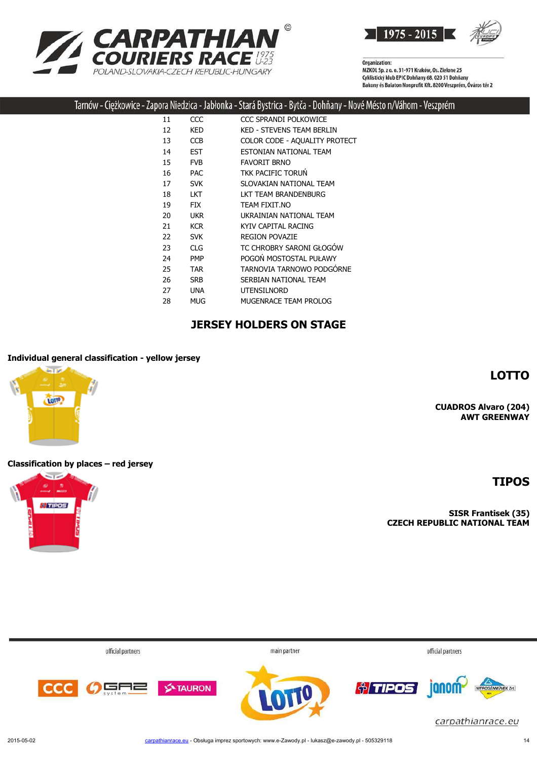



 $\odot$ 

| 11 | CCC        | CCC SPRANDI POLKOWICE            |
|----|------------|----------------------------------|
| 12 | KED        | <b>KED - STEVENS TEAM BERLIN</b> |
| 13 | <b>CCB</b> | COLOR CODE - AQUALITY PROTECT    |
| 14 | <b>EST</b> | ESTONIAN NATIONAL TEAM           |
| 15 | <b>FVB</b> | <b>FAVORIT BRNO</b>              |
| 16 | <b>PAC</b> | <b>TKK PACIFIC TORUN</b>         |
| 17 | <b>SVK</b> | SLOVAKIAN NATIONAL TEAM          |
| 18 | <b>LKT</b> | LKT TEAM BRANDENBURG             |
| 19 | <b>FIX</b> | TEAM FIXIT.NO                    |
| 20 | <b>UKR</b> | UKRAINIAN NATIONAL TEAM          |
| 21 | <b>KCR</b> | KYIV CAPITAL RACING              |
| 22 | <b>SVK</b> | <b>REGION POVAZIE</b>            |
| 23 | CLG        | TC CHROBRY SARONI GŁOGÓW         |
| 24 | <b>PMP</b> | POGOŃ MOSTOSTAL PUŁAWY           |
| 25 | TAR        | TARNOVIA TARNOWO PODGÓRNE        |
| 26 | <b>SRB</b> | SERBIAN NATIONAL TEAM            |
| 27 | UNA.       | <b>UTENSILNORD</b>               |
| 28 | MUG        | MUGENRACE TEAM PROLOG            |
|    |            |                                  |

#### **JERSEY HOLDERS ON STAGE**

#### **Individual general classification - yellow jersey**

**CUADROS Alvaro (204) AWT GREENWAY**

**LOTTO**

**Classification by places – red jersey**

**SISR Frantisek (35) CZECH REPUBLIC NATIONAL TEAM**

| official partners     | main partner | official partners                                                      |
|-----------------------|--------------|------------------------------------------------------------------------|
| <b>OFFICE</b> STAURON |              | <b><u>of TIPOS</u></b> anomy<br>NITROGENMÜVEK ZH.<br>carpathianrace.eu |



**TIPOS**









**CA**